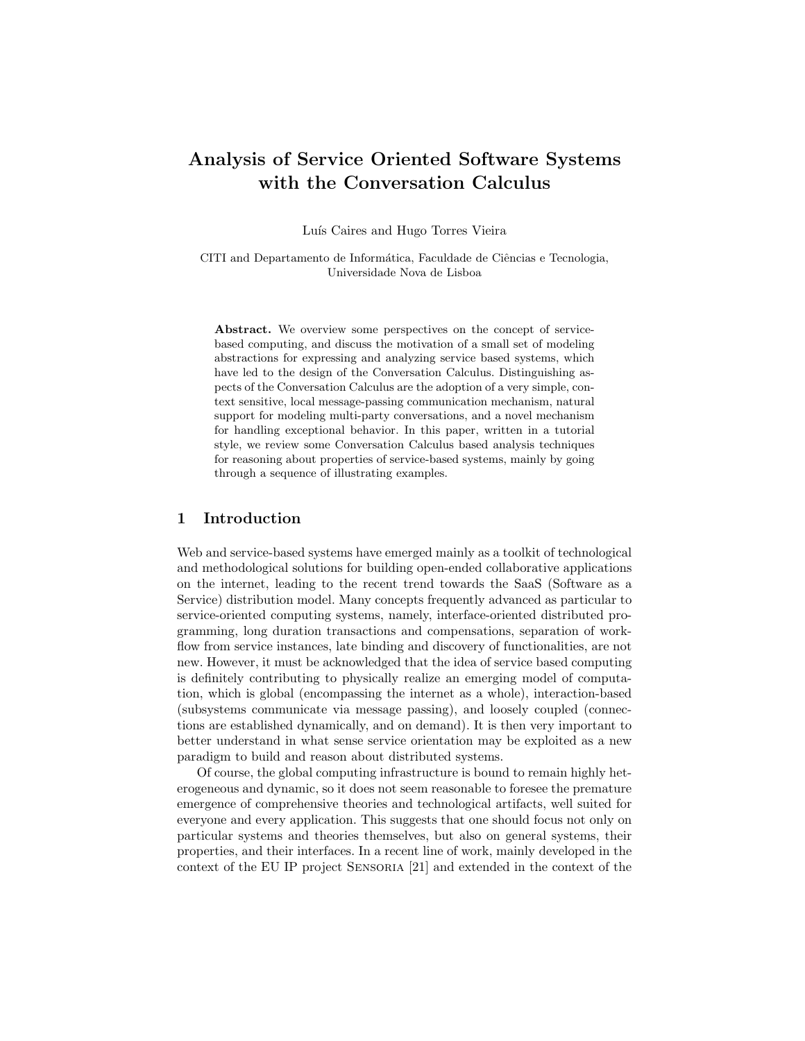# Analysis of Service Oriented Software Systems with the Conversation Calculus

Luís Caires and Hugo Torres Vieira

CITI and Departamento de Informática, Faculdade de Ciências e Tecnologia, Universidade Nova de Lisboa

Abstract. We overview some perspectives on the concept of servicebased computing, and discuss the motivation of a small set of modeling abstractions for expressing and analyzing service based systems, which have led to the design of the Conversation Calculus. Distinguishing aspects of the Conversation Calculus are the adoption of a very simple, context sensitive, local message-passing communication mechanism, natural support for modeling multi-party conversations, and a novel mechanism for handling exceptional behavior. In this paper, written in a tutorial style, we review some Conversation Calculus based analysis techniques for reasoning about properties of service-based systems, mainly by going through a sequence of illustrating examples.

# 1 Introduction

Web and service-based systems have emerged mainly as a toolkit of technological and methodological solutions for building open-ended collaborative applications on the internet, leading to the recent trend towards the SaaS (Software as a Service) distribution model. Many concepts frequently advanced as particular to service-oriented computing systems, namely, interface-oriented distributed programming, long duration transactions and compensations, separation of workflow from service instances, late binding and discovery of functionalities, are not new. However, it must be acknowledged that the idea of service based computing is definitely contributing to physically realize an emerging model of computation, which is global (encompassing the internet as a whole), interaction-based (subsystems communicate via message passing), and loosely coupled (connections are established dynamically, and on demand). It is then very important to better understand in what sense service orientation may be exploited as a new paradigm to build and reason about distributed systems.

Of course, the global computing infrastructure is bound to remain highly heterogeneous and dynamic, so it does not seem reasonable to foresee the premature emergence of comprehensive theories and technological artifacts, well suited for everyone and every application. This suggests that one should focus not only on particular systems and theories themselves, but also on general systems, their properties, and their interfaces. In a recent line of work, mainly developed in the context of the EU IP project Sensoria [21] and extended in the context of the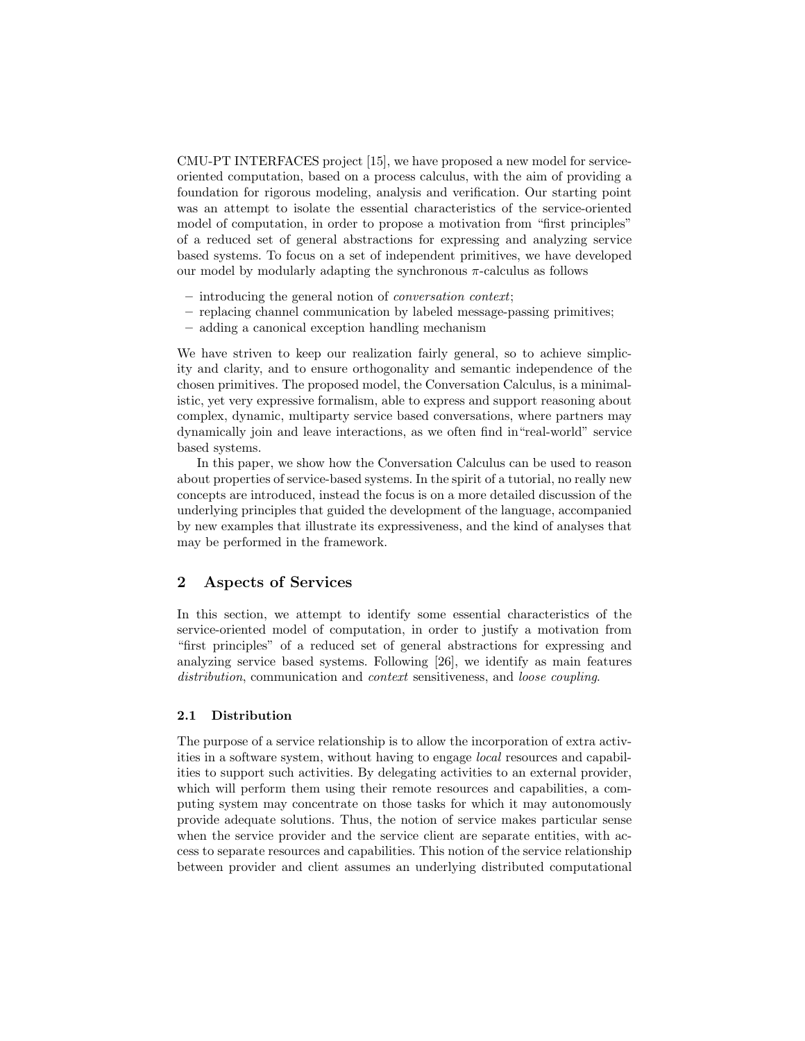CMU-PT INTERFACES project [15], we have proposed a new model for serviceoriented computation, based on a process calculus, with the aim of providing a foundation for rigorous modeling, analysis and verification. Our starting point was an attempt to isolate the essential characteristics of the service-oriented model of computation, in order to propose a motivation from "first principles" of a reduced set of general abstractions for expressing and analyzing service based systems. To focus on a set of independent primitives, we have developed our model by modularly adapting the synchronous  $\pi$ -calculus as follows

- introducing the general notion of *conversation context*;
- replacing channel communication by labeled message-passing primitives;
- adding a canonical exception handling mechanism

We have striven to keep our realization fairly general, so to achieve simplicity and clarity, and to ensure orthogonality and semantic independence of the chosen primitives. The proposed model, the Conversation Calculus, is a minimalistic, yet very expressive formalism, able to express and support reasoning about complex, dynamic, multiparty service based conversations, where partners may dynamically join and leave interactions, as we often find in"real-world" service based systems.

In this paper, we show how the Conversation Calculus can be used to reason about properties of service-based systems. In the spirit of a tutorial, no really new concepts are introduced, instead the focus is on a more detailed discussion of the underlying principles that guided the development of the language, accompanied by new examples that illustrate its expressiveness, and the kind of analyses that may be performed in the framework.

# 2 Aspects of Services

In this section, we attempt to identify some essential characteristics of the service-oriented model of computation, in order to justify a motivation from "first principles" of a reduced set of general abstractions for expressing and analyzing service based systems. Following [26], we identify as main features *distribution*, communication and *context* sensitiveness, and *loose coupling*.

# 2.1 Distribution

The purpose of a service relationship is to allow the incorporation of extra activities in a software system, without having to engage *local* resources and capabilities to support such activities. By delegating activities to an external provider, which will perform them using their remote resources and capabilities, a computing system may concentrate on those tasks for which it may autonomously provide adequate solutions. Thus, the notion of service makes particular sense when the service provider and the service client are separate entities, with access to separate resources and capabilities. This notion of the service relationship between provider and client assumes an underlying distributed computational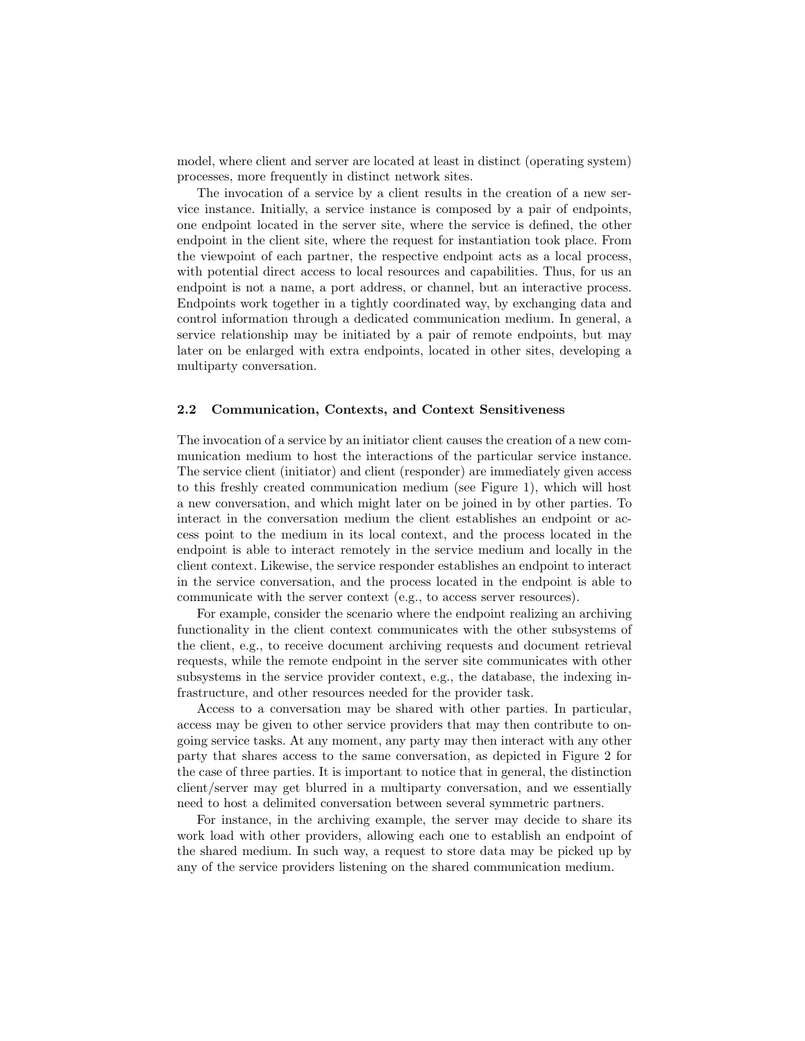model, where client and server are located at least in distinct (operating system) processes, more frequently in distinct network sites.

The invocation of a service by a client results in the creation of a new service instance. Initially, a service instance is composed by a pair of endpoints, one endpoint located in the server site, where the service is defined, the other endpoint in the client site, where the request for instantiation took place. From the viewpoint of each partner, the respective endpoint acts as a local process, with potential direct access to local resources and capabilities. Thus, for us an endpoint is not a name, a port address, or channel, but an interactive process. Endpoints work together in a tightly coordinated way, by exchanging data and control information through a dedicated communication medium. In general, a service relationship may be initiated by a pair of remote endpoints, but may later on be enlarged with extra endpoints, located in other sites, developing a multiparty conversation.

### 2.2 Communication, Contexts, and Context Sensitiveness

The invocation of a service by an initiator client causes the creation of a new communication medium to host the interactions of the particular service instance. The service client (initiator) and client (responder) are immediately given access to this freshly created communication medium (see Figure 1), which will host a new conversation, and which might later on be joined in by other parties. To interact in the conversation medium the client establishes an endpoint or access point to the medium in its local context, and the process located in the endpoint is able to interact remotely in the service medium and locally in the client context. Likewise, the service responder establishes an endpoint to interact in the service conversation, and the process located in the endpoint is able to communicate with the server context (e.g., to access server resources).

For example, consider the scenario where the endpoint realizing an archiving functionality in the client context communicates with the other subsystems of the client, e.g., to receive document archiving requests and document retrieval requests, while the remote endpoint in the server site communicates with other subsystems in the service provider context, e.g., the database, the indexing infrastructure, and other resources needed for the provider task.

Access to a conversation may be shared with other parties. In particular, access may be given to other service providers that may then contribute to ongoing service tasks. At any moment, any party may then interact with any other party that shares access to the same conversation, as depicted in Figure 2 for the case of three parties. It is important to notice that in general, the distinction client/server may get blurred in a multiparty conversation, and we essentially need to host a delimited conversation between several symmetric partners.

For instance, in the archiving example, the server may decide to share its work load with other providers, allowing each one to establish an endpoint of the shared medium. In such way, a request to store data may be picked up by any of the service providers listening on the shared communication medium.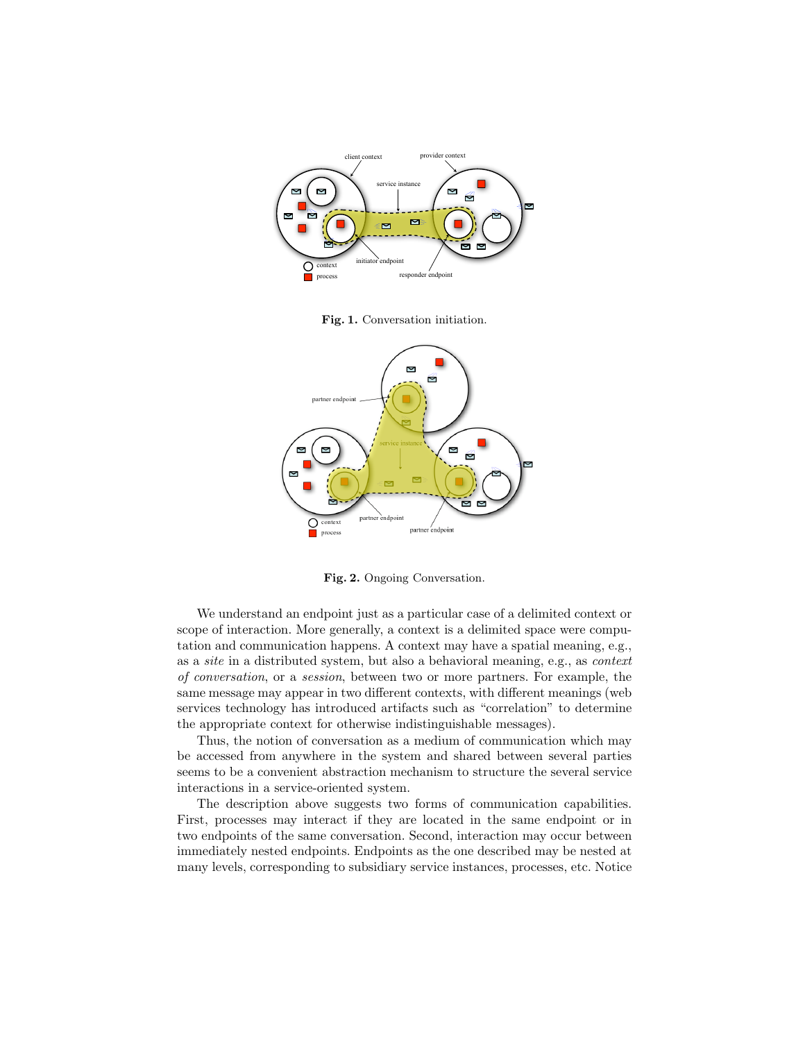

Fig. 1. Conversation initiation.



Fig. 2. Ongoing Conversation.

We understand an endpoint just as a particular case of a delimited context or scope of interaction. More generally, a context is a delimited space were computation and communication happens. A context may have a spatial meaning, e.g., as a *site* in a distributed system, but also a behavioral meaning, e.g., as *context of conversation*, or a *session*, between two or more partners. For example, the same message may appear in two different contexts, with different meanings (web services technology has introduced artifacts such as "correlation" to determine the appropriate context for otherwise indistinguishable messages).

Thus, the notion of conversation as a medium of communication which may be accessed from anywhere in the system and shared between several parties seems to be a convenient abstraction mechanism to structure the several service interactions in a service-oriented system.

The description above suggests two forms of communication capabilities. First, processes may interact if they are located in the same endpoint or in two endpoints of the same conversation. Second, interaction may occur between immediately nested endpoints. Endpoints as the one described may be nested at many levels, corresponding to subsidiary service instances, processes, etc. Notice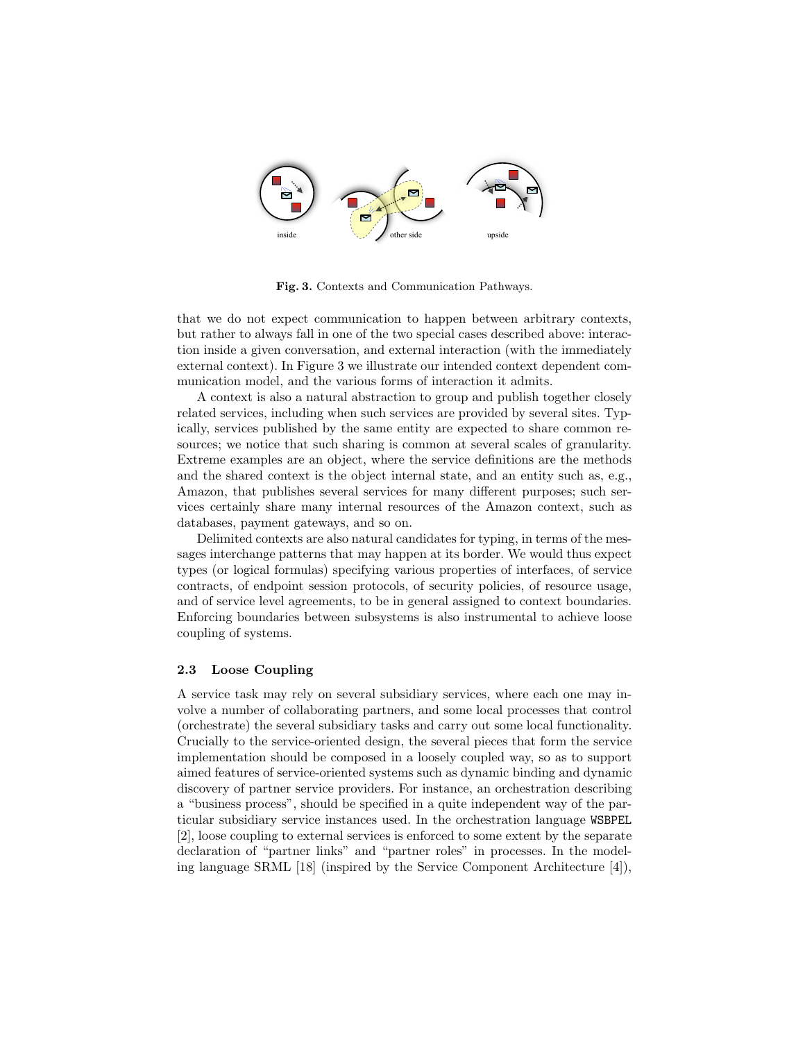

Fig. 3. Contexts and Communication Pathways.

that we do not expect communication to happen between arbitrary contexts, but rather to always fall in one of the two special cases described above: interaction inside a given conversation, and external interaction (with the immediately external context). In Figure 3 we illustrate our intended context dependent communication model, and the various forms of interaction it admits.

A context is also a natural abstraction to group and publish together closely related services, including when such services are provided by several sites. Typically, services published by the same entity are expected to share common resources; we notice that such sharing is common at several scales of granularity. Extreme examples are an object, where the service definitions are the methods and the shared context is the object internal state, and an entity such as, e.g., Amazon, that publishes several services for many different purposes; such services certainly share many internal resources of the Amazon context, such as databases, payment gateways, and so on.

Delimited contexts are also natural candidates for typing, in terms of the messages interchange patterns that may happen at its border. We would thus expect types (or logical formulas) specifying various properties of interfaces, of service contracts, of endpoint session protocols, of security policies, of resource usage, and of service level agreements, to be in general assigned to context boundaries. Enforcing boundaries between subsystems is also instrumental to achieve loose coupling of systems.

# 2.3 Loose Coupling

A service task may rely on several subsidiary services, where each one may involve a number of collaborating partners, and some local processes that control (orchestrate) the several subsidiary tasks and carry out some local functionality. Crucially to the service-oriented design, the several pieces that form the service implementation should be composed in a loosely coupled way, so as to support aimed features of service-oriented systems such as dynamic binding and dynamic discovery of partner service providers. For instance, an orchestration describing a "business process", should be specified in a quite independent way of the particular subsidiary service instances used. In the orchestration language WSBPEL [2], loose coupling to external services is enforced to some extent by the separate declaration of "partner links" and "partner roles" in processes. In the modeling language SRML [18] (inspired by the Service Component Architecture [4]),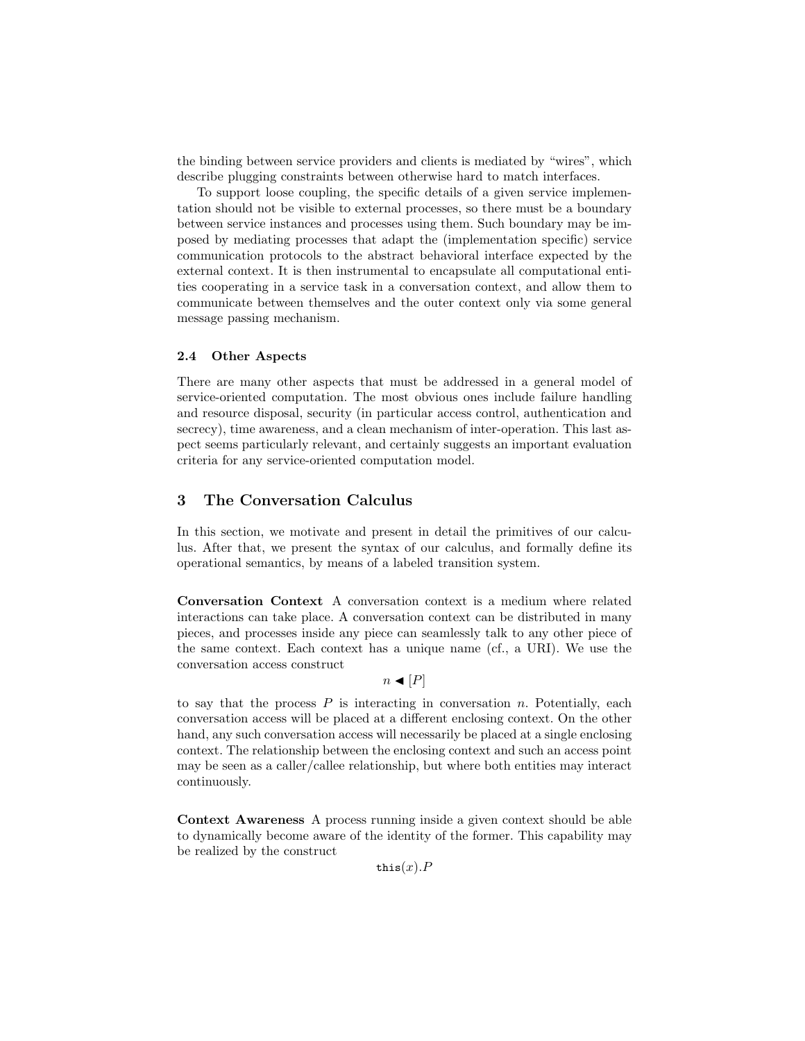the binding between service providers and clients is mediated by "wires", which describe plugging constraints between otherwise hard to match interfaces.

To support loose coupling, the specific details of a given service implementation should not be visible to external processes, so there must be a boundary between service instances and processes using them. Such boundary may be imposed by mediating processes that adapt the (implementation specific) service communication protocols to the abstract behavioral interface expected by the external context. It is then instrumental to encapsulate all computational entities cooperating in a service task in a conversation context, and allow them to communicate between themselves and the outer context only via some general message passing mechanism.

#### 2.4 Other Aspects

There are many other aspects that must be addressed in a general model of service-oriented computation. The most obvious ones include failure handling and resource disposal, security (in particular access control, authentication and secrecy), time awareness, and a clean mechanism of inter-operation. This last aspect seems particularly relevant, and certainly suggests an important evaluation criteria for any service-oriented computation model.

# 3 The Conversation Calculus

In this section, we motivate and present in detail the primitives of our calculus. After that, we present the syntax of our calculus, and formally define its operational semantics, by means of a labeled transition system.

Conversation Context A conversation context is a medium where related interactions can take place. A conversation context can be distributed in many pieces, and processes inside any piece can seamlessly talk to any other piece of the same context. Each context has a unique name (cf., a URI). We use the conversation access construct

 $n \triangleleft [P]$ 

to say that the process  $P$  is interacting in conversation n. Potentially, each conversation access will be placed at a different enclosing context. On the other hand, any such conversation access will necessarily be placed at a single enclosing context. The relationship between the enclosing context and such an access point may be seen as a caller/callee relationship, but where both entities may interact continuously.

Context Awareness A process running inside a given context should be able to dynamically become aware of the identity of the former. This capability may be realized by the construct

this $(x)$ .  $P$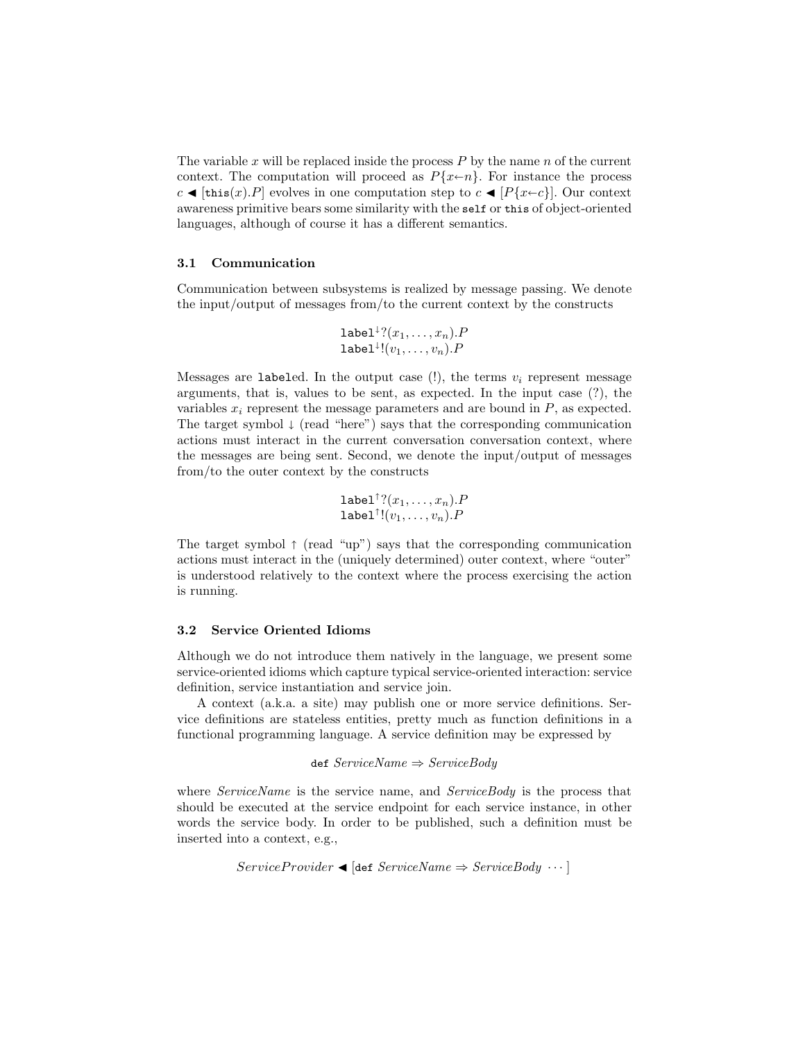The variable x will be replaced inside the process  $P$  by the name  $n$  of the current context. The computation will proceed as  $P\{x \leftarrow n\}$ . For instance the process  $c \blacktriangleleft [\text{this}(x).P]$  evolves in one computation step to  $c \blacktriangleleft [P\{x \in c\}]$ . Our context awareness primitive bears some similarity with the self or this of object-oriented languages, although of course it has a different semantics.

#### 3.1 Communication

Communication between subsystems is realized by message passing. We denote the input/output of messages from/to the current context by the constructs

$$
\texttt{label}^{\downarrow\gamma}(x_1,\ldots,x_n).P\\ \texttt{label}^{\downarrow\cdot}((v_1,\ldots,v_n).P
$$

Messages are labeled. In the output case  $(!)$ , the terms  $v_i$  represent message arguments, that is, values to be sent, as expected. In the input case (?), the variables  $x_i$  represent the message parameters and are bound in  $P$ , as expected. The target symbol  $\downarrow$  (read "here") says that the corresponding communication actions must interact in the current conversation conversation context, where the messages are being sent. Second, we denote the input/output of messages from/to the outer context by the constructs

$$
\begin{array}{c}\n\texttt{label}^{\dagger}\mathbf{?}(x_1,\ldots,x_n).F \\
\texttt{label}^{\dagger}\mathbf{?}(v_1,\ldots,v_n).P\n\end{array}
$$

The target symbol  $\uparrow$  (read "up") says that the corresponding communication actions must interact in the (uniquely determined) outer context, where "outer" is understood relatively to the context where the process exercising the action is running.

#### 3.2 Service Oriented Idioms

Although we do not introduce them natively in the language, we present some service-oriented idioms which capture typical service-oriented interaction: service definition, service instantiation and service join.

A context (a.k.a. a site) may publish one or more service definitions. Service definitions are stateless entities, pretty much as function definitions in a functional programming language. A service definition may be expressed by

#### def *ServiceName* ⇒ *ServiceBody*

where *ServiceName* is the service name, and *ServiceBody* is the process that should be executed at the service endpoint for each service instance, in other words the service body. In order to be published, such a definition must be inserted into a context, e.g.,

$$
ServiceProvide \bullet \{\text{def} ServiceName \Rightarrow ServiceBody \cdots\}
$$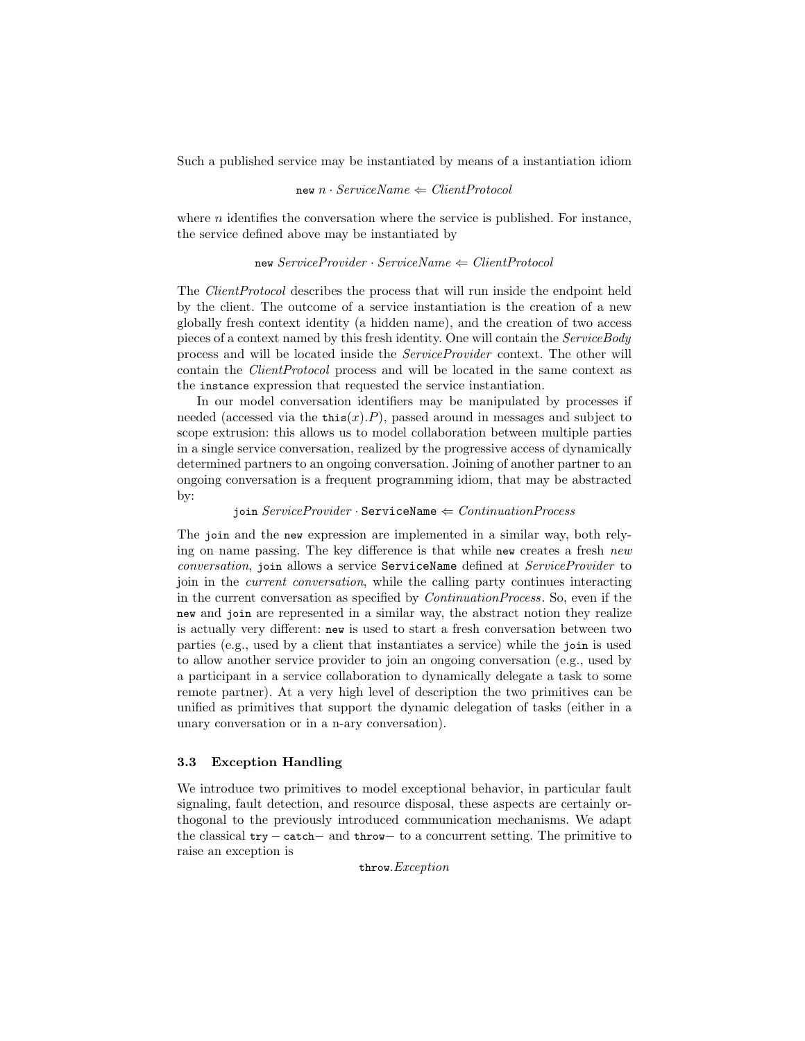Such a published service may be instantiated by means of a instantiation idiom

$$
\texttt{new}~ n \cdot ServiceName \Leftarrow ClientProtocol
$$

where  $n$  identifies the conversation where the service is published. For instance, the service defined above may be instantiated by

### new *ServiceProvider* · *ServiceName* ⇐ *ClientProtocol*

The *ClientProtocol* describes the process that will run inside the endpoint held by the client. The outcome of a service instantiation is the creation of a new globally fresh context identity (a hidden name), and the creation of two access pieces of a context named by this fresh identity. One will contain the *ServiceBody* process and will be located inside the *ServiceProvider* context. The other will contain the *ClientProtocol* process and will be located in the same context as the instance expression that requested the service instantiation.

In our model conversation identifiers may be manipulated by processes if needed (accessed via the  $\text{this}(x).P$ ), passed around in messages and subject to scope extrusion: this allows us to model collaboration between multiple parties in a single service conversation, realized by the progressive access of dynamically determined partners to an ongoing conversation. Joining of another partner to an ongoing conversation is a frequent programming idiom, that may be abstracted by:

```
join ServiceProvider · ServiceName ⇐ ContinuationProcess
```
The join and the new expression are implemented in a similar way, both relying on name passing. The key difference is that while new creates a fresh *new conversation*, join allows a service ServiceName defined at *ServiceProvider* to join in the *current conversation*, while the calling party continues interacting in the current conversation as specified by *ContinuationProcess*. So, even if the new and join are represented in a similar way, the abstract notion they realize is actually very different: new is used to start a fresh conversation between two parties (e.g., used by a client that instantiates a service) while the join is used to allow another service provider to join an ongoing conversation (e.g., used by a participant in a service collaboration to dynamically delegate a task to some remote partner). At a very high level of description the two primitives can be unified as primitives that support the dynamic delegation of tasks (either in a unary conversation or in a n-ary conversation).

#### 3.3 Exception Handling

We introduce two primitives to model exceptional behavior, in particular fault signaling, fault detection, and resource disposal, these aspects are certainly orthogonal to the previously introduced communication mechanisms. We adapt the classical try − catch− and throw− to a concurrent setting. The primitive to raise an exception is

throw.*Exception*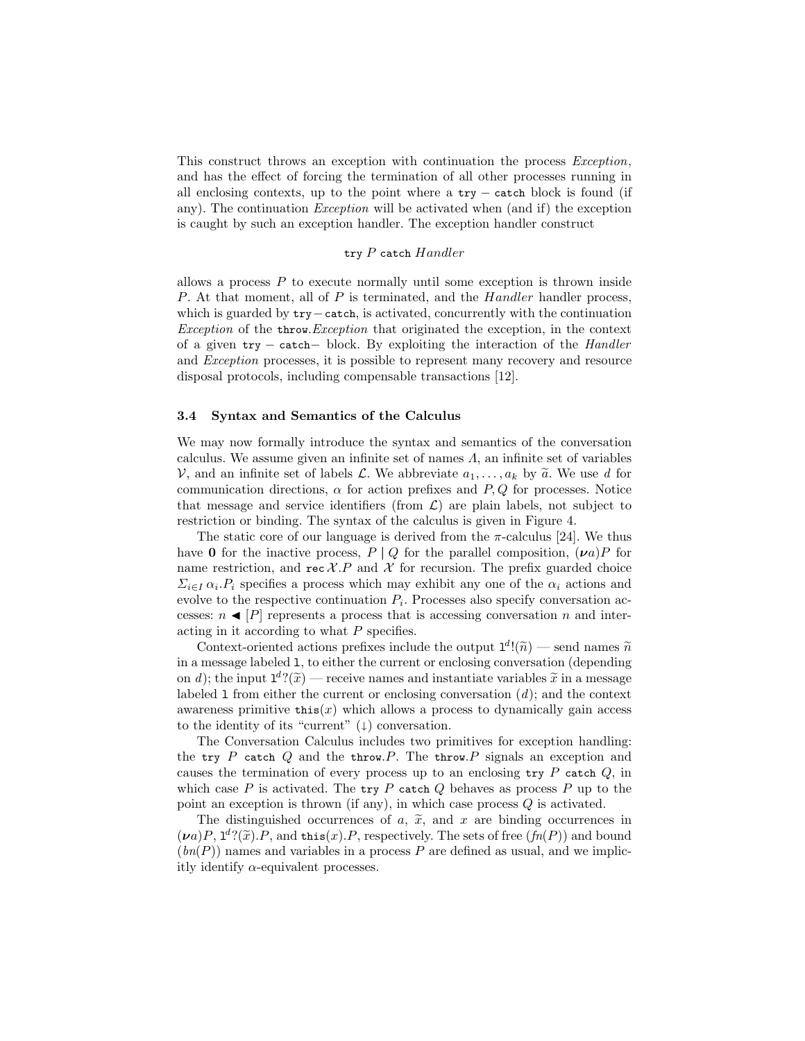This construct throws an exception with continuation the process *Exception*, and has the effect of forcing the termination of all other processes running in all enclosing contexts, up to the point where a  $try - catch block$  is found (if any). The continuation *Exception* will be activated when (and if) the exception is caught by such an exception handler. The exception handler construct

# try  $P$  catch Handler

allows a process  $P$  to execute normally until some exception is thrown inside P. At that moment, all of P is terminated, and the Handler handler process, which is guarded by try−catch, is activated, concurrently with the continuation *Exception* of the throw.*Exception* that originated the exception, in the context of a given try − catch− block. By exploiting the interaction of the *Handler* and *Exception* processes, it is possible to represent many recovery and resource disposal protocols, including compensable transactions [12].

#### 3.4 Syntax and Semantics of the Calculus

We may now formally introduce the syntax and semantics of the conversation calculus. We assume given an infinite set of names  $\Lambda$ , an infinite set of variables  $V$ , and an infinite set of labels L. We abbreviate  $a_1, \ldots, a_k$  by  $\tilde{a}$ . We use d for communication directions,  $\alpha$  for action prefixes and  $P, Q$  for processes. Notice that message and service identifiers (from  $\mathcal{L}$ ) are plain labels, not subject to restriction or binding. The syntax of the calculus is given in Figure 4.

The static core of our language is derived from the  $\pi$ -calculus [24]. We thus have 0 for the inactive process,  $P | Q$  for the parallel composition,  $(\nu a)P$  for name restriction, and rec  $\mathcal{X}.P$  and  $\mathcal{X}$  for recursion. The prefix guarded choice  $\Sigma_{i\in I}\alpha_i.P_i$  specifies a process which may exhibit any one of the  $\alpha_i$  actions and evolve to the respective continuation  $P_i$ . Processes also specify conversation accesses:  $n \triangleleft [P]$  represents a process that is accessing conversation n and interacting in it according to what P specifies.

Context-oriented actions prefixes include the output  $1^d$ !( $\tilde{n}$ ) — send names  $\tilde{n}$ in a message labeled l, to either the current or enclosing conversation (depending on *d*); the input  $1^d$ ?( $\tilde{x}$ ) — receive names and instantiate variables  $\tilde{x}$  in a message labeled l from either the current or enclosing conversation (*d*); and the context awareness primitive  $\text{this}(x)$  which allows a process to dynamically gain access to the identity of its "current"  $(\downarrow)$  conversation.

The Conversation Calculus includes two primitives for exception handling: the try  $P$  catch  $Q$  and the throw.  $P$ . The throw.  $P$  signals an exception and causes the termination of every process up to an enclosing  $\text{try } P$  catch  $Q$ , in which case P is activated. The try P catch  $Q$  behaves as process P up to the point an exception is thrown (if any), in which case process Q is activated.

The distinguished occurrences of a,  $\tilde{x}$ , and x are binding occurrences in  $(\nu a)P, \mathbf{1}^d$ ? $(\tilde{x})$ .P, and this $(x)$ .P, respectively. The sets of free  $(f_n(P))$  and bound<br> $(h_n(P))$  proposes and equipples in a proposes B and defined as sense, and an invalid  $(bn(P))$  names and variables in a process P are defined as usual, and we implicitly identify  $\alpha$ -equivalent processes.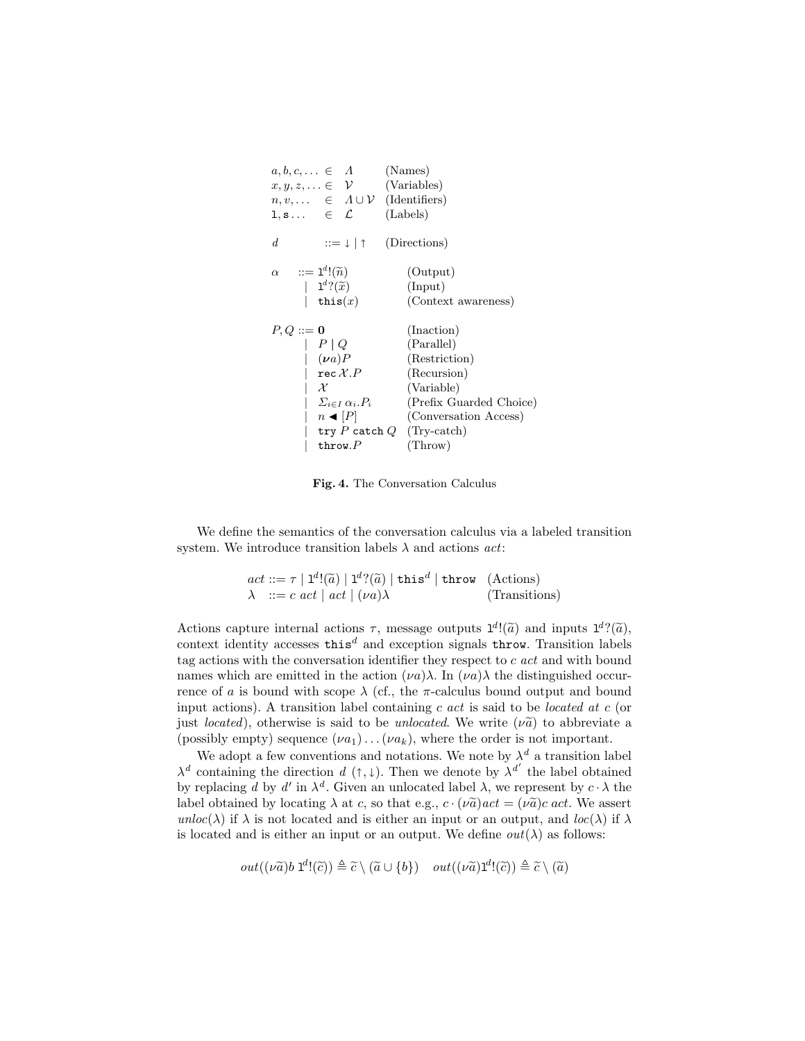| $a, b, c, \ldots \in \Lambda$<br>$x, y, z, \ldots \in V$<br>$n, v, \ldots \in \Lambda \cup \mathcal{V}$ (Identifiers)<br>$1, s \in \mathcal{L}$      | (Names)<br>(Variables)<br>(Labels)                                                                                                                                   |
|------------------------------------------------------------------------------------------------------------------------------------------------------|----------------------------------------------------------------------------------------------------------------------------------------------------------------------|
| d                                                                                                                                                    | $ ::= \downarrow   \uparrow$ (Directions)                                                                                                                            |
| $\alpha$ := $1^d!(\widetilde{n})$<br>  $1^d$ ? $(\widetilde{x})$<br>  this $(x)$                                                                     | (Output)<br>(Input)<br>(Context awareness)                                                                                                                           |
| $P,Q ::= \mathbf{0}$<br> P Q<br>$\int (\nu a) P$<br>rec $X.P$<br>$\mathcal{X}$<br>$\sum_{i\in I}\alpha_i.P_i$<br>$n \triangleleft  P $<br>throw. $P$ | (Inaction)<br>(Parallel)<br>(Restriction)<br>(Recursion)<br>(Variable)<br>(Prefix Guarded Choice)<br>(Conversation Access)<br>try P catch $Q$ (Try-catch)<br>(Throw) |

Fig. 4. The Conversation Calculus

We define the semantics of the conversation calculus via a labeled transition system. We introduce transition labels  $\lambda$  and actions  $act$ :

$$
act ::= \tau | 1d!(\widetilde{a}) | 1d!(\widetilde{a}) | \text{this}d | \text{throw} \text{ (Actions)}
$$
  

$$
\lambda ::= c \text{ act } | \text{ act } | (\nu a)\lambda \text{ (Transitions)}
$$

Actions capture internal actions  $\tau$ , message outputs  $1^d$ !( $\tilde{a}$ ) and inputs  $1^d$ ?( $\tilde{a}$ ), context identity accesses  $\text{this}^d$  and exception signals  $\text{throw.}$  Transition labels tag actions with the conversation identifier they respect to c *act* and with bound names which are emitted in the action  $(\nu a)$ ). In  $(\nu a)$  the distinguished occurrence of a is bound with scope  $\lambda$  (cf., the  $\pi$ -calculus bound output and bound input actions). A transition label containing c *act* is said to be *located at* c (or just *located*), otherwise is said to be *unlocated*. We write  $(\nu \tilde{a})$  to abbreviate a (possibly empty) sequence  $(\nu a_1) \dots (\nu a_k)$ , where the order is not important.

We adopt a few conventions and notations. We note by  $\lambda^d$  a transition label  $\lambda^d$  containing the direction  $d(\uparrow, \downarrow)$ . Then we denote by  $\lambda^{d'}$  the label obtained by replacing *d* by *d'* in  $\lambda^d$ . Given an unlocated label  $\lambda$ , we represent by  $c \cdot \lambda$  the label obtained by locating  $\lambda$  at c, so that e.g.,  $c \cdot (\nu \tilde{a})act = (\nu \tilde{a})c \cdot act$ . We assert *unloc*( $\lambda$ ) if  $\lambda$  is not located and is either an input or an output, and *loc*( $\lambda$ ) if  $\lambda$ is located and is either an input or an output. We define  $out(\lambda)$  as follows:

$$
out((\nu \widetilde{a})b \; 1^d!(\widetilde{c})) \triangleq \widetilde{c} \setminus (\widetilde{a} \cup \{b\}) \quad out((\nu \widetilde{a})1^d!(\widetilde{c})) \triangleq \widetilde{c} \setminus (\widetilde{a})
$$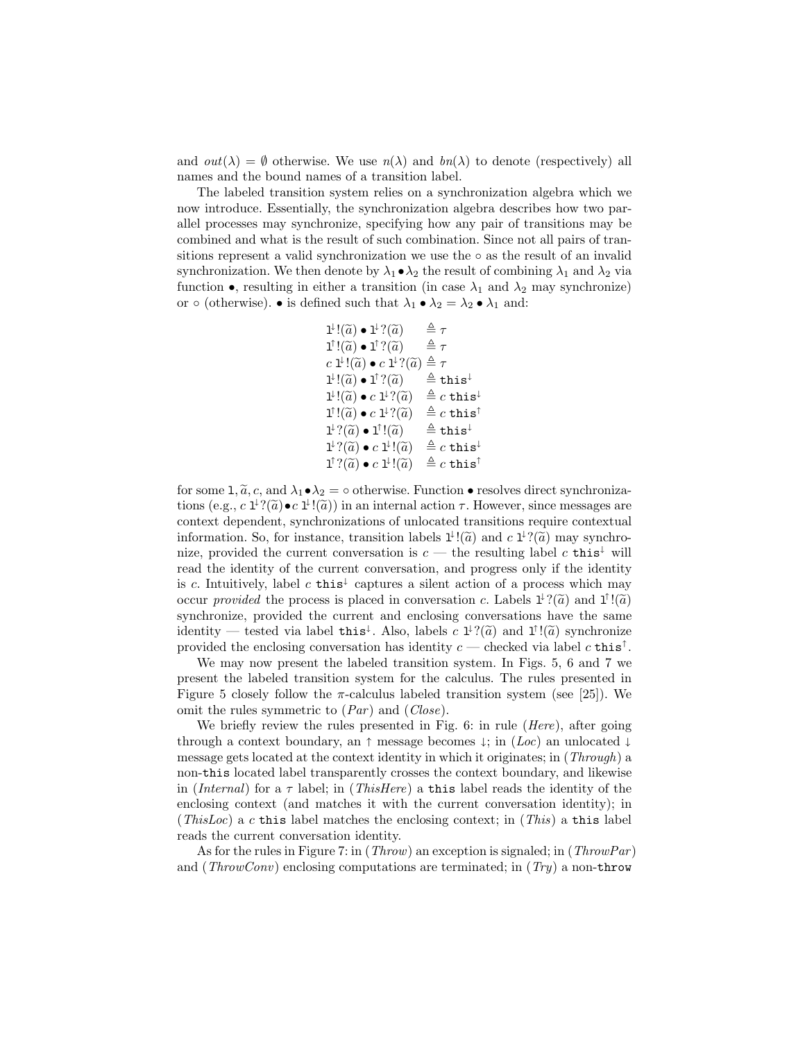and  $out(\lambda) = \emptyset$  otherwise. We use  $n(\lambda)$  and  $bn(\lambda)$  to denote (respectively) all names and the bound names of a transition label.

The labeled transition system relies on a synchronization algebra which we now introduce. Essentially, the synchronization algebra describes how two parallel processes may synchronize, specifying how any pair of transitions may be combined and what is the result of such combination. Since not all pairs of transitions represent a valid synchronization we use the  $\circ$  as the result of an invalid synchronization. We then denote by  $\lambda_1 \bullet \lambda_2$  the result of combining  $\lambda_1$  and  $\lambda_2$  via function  $\bullet$ , resulting in either a transition (in case  $\lambda_1$  and  $\lambda_2$  may synchronize) or  $\circ$  (otherwise). • is defined such that  $\lambda_1 \bullet \lambda_2 = \lambda_2 \bullet \lambda_1$  and:

$$
\begin{array}{ll}\n\mathbf{1}^{\downarrow}!(\widetilde{a}) \bullet \mathbf{1}^{\downarrow}?\widetilde{(a)} & \stackrel{\triangle}{=} \tau \\
\mathbf{1}^{\uparrow}!(\widetilde{a}) \bullet \mathbf{1}^{\uparrow}?\widetilde{(a)} & \stackrel{\triangle}{=} \tau \\
c \mathbf{1}^{\downarrow}!(\widetilde{a}) \bullet c \mathbf{1}^{\downarrow}?\widetilde{(a)} & \stackrel{\triangle}{=} \tau \\
\mathbf{1}^{\downarrow}!(\widetilde{a}) \bullet \mathbf{1}^{\uparrow}?\widetilde{(a)} & \stackrel{\triangle}{=} \text{this}^{\downarrow} \\
\mathbf{1}^{\downarrow}!(\widetilde{a}) \bullet c \mathbf{1}^{\downarrow}?\widetilde{(a)} & \stackrel{\triangle}{=} c \text{ this}^{\downarrow} \\
\mathbf{1}^{\uparrow}!(\widetilde{a}) \bullet c \mathbf{1}^{\downarrow}?\widetilde{(a)} & \stackrel{\triangle}{=} c \text{ this}^{\uparrow} \\
\mathbf{1}^{\downarrow}?\widetilde{(a)} \bullet \mathbf{1}^{\uparrow}!(\widetilde{a}) & \stackrel{\triangle}{=} c \text{ this}^{\downarrow} \\
\mathbf{1}^{\downarrow}?\widetilde{(a)} \bullet c \mathbf{1}^{\downarrow}!\widetilde{(a)} & \stackrel{\triangle}{=} c \text{ this}^{\downarrow} \\
\mathbf{1}^{\uparrow}?\widetilde{(a)} \bullet c \mathbf{1}^{\downarrow}!\widetilde{(a)} & \stackrel{\triangle}{=} c \text{ this}^{\uparrow} \\
\mathbf{1}^{\uparrow}?\widetilde{(a)} \bullet c \mathbf{1}^{\downarrow}!\widetilde{(a)} & \stackrel{\triangle}{=} c \text{ this}^{\uparrow} \\
\end{array}
$$

for some  $1, \tilde{a}, c$ , and  $\lambda_1 \bullet \lambda_2 = \circ$  otherwise. Function  $\bullet$  resolves direct synchronizations (e.g.,  $c \neq 2^{\downarrow}$ ? $(\widetilde{a}) \bullet c \neq 1^{\downarrow}(\widetilde{a})$ ) in an internal action  $\tau$ . However, since messages are context dependent, synchronizations of unlocated transitions require contextual information. So, for instance, transition labels  $1^1(\tilde{a})$  and  $c 1^1(\tilde{a})$  may synchro-<br>wise according the numerical method is the negative lebel of the setting nize, provided the current conversation is  $c$  — the resulting label c this<sup> $\downarrow$ </sup> will read the identity of the current conversation, and progress only if the identity is c. Intuitively, label c this<sup> $\downarrow$ </sup> captures a silent action of a process which may occur *provided* the process is placed in conversation c. Labels  $1^1$ ?( $\tilde{a}$ ) and  $1^{\dagger}$ !( $\tilde{a}$ ) synchronize, provided the current and enclosing conversations have the same identity — tested via label this<sup>1</sup>. Also, labels  $c$  l<sup>1</sup>?( $\tilde{a}$ ) and l<sup>1</sup>!( $\tilde{a}$ ) synchronize provided the enclosing conversation has identity  $c$  — checked via label c this<sup>†</sup>.

We may now present the labeled transition system. In Figs. 5, 6 and 7 we present the labeled transition system for the calculus. The rules presented in Figure 5 closely follow the  $\pi$ -calculus labeled transition system (see [25]). We omit the rules symmetric to (*Par* ) and (*Close*).

We briefly review the rules presented in Fig. 6: in rule (*Here*), after going through a context boundary, an  $\uparrow$  message becomes  $\downarrow$ ; in (*Loc*) an unlocated  $\downarrow$ message gets located at the context identity in which it originates; in (*Through*) a non-this located label transparently crosses the context boundary, and likewise in (*Internal*) for a  $\tau$  label; in (*ThisHere*) a this label reads the identity of the enclosing context (and matches it with the current conversation identity); in (*ThisLoc*) a c this label matches the enclosing context; in (*This*) a this label reads the current conversation identity.

As for the rules in Figure 7: in (*Throw*) an exception is signaled; in (*ThrowPar* ) and (*ThrowConv*) enclosing computations are terminated; in (*Try*) a non-throw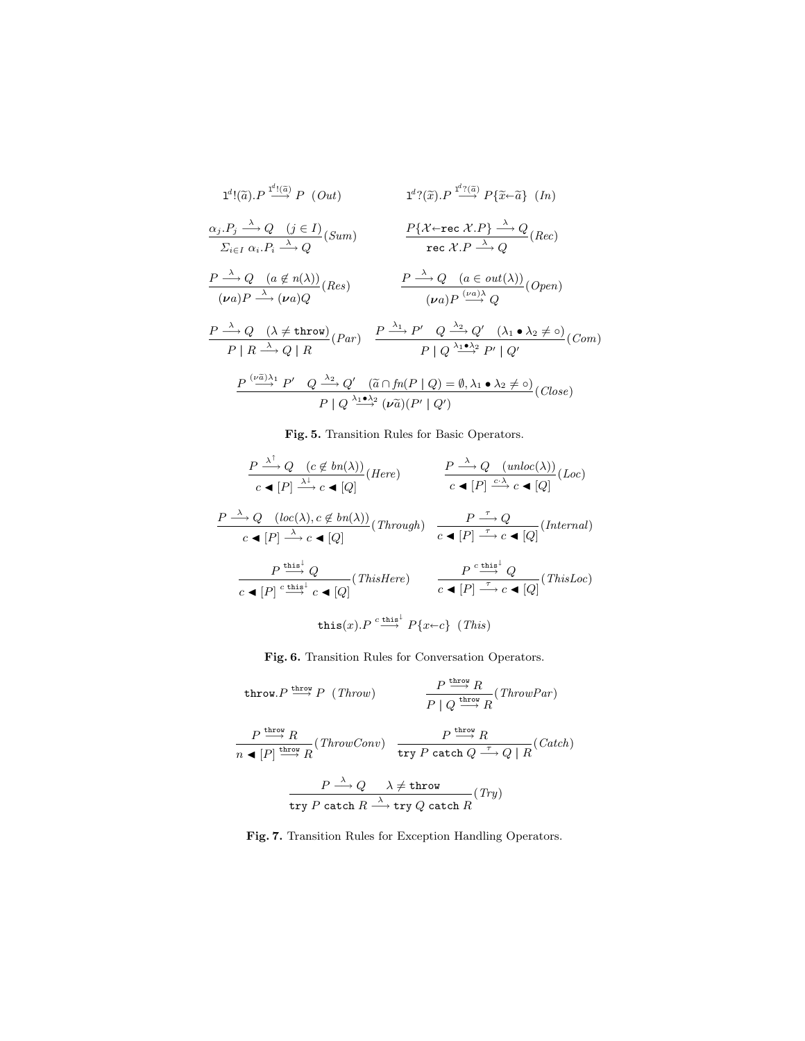$$
1^{d}!(\widetilde{a}).P \xrightarrow{1^{d}!(\widetilde{a})} P (Out)
$$
\n
$$
1^{d}?(\widetilde{x}).P \xrightarrow{1^{d}!(\widetilde{a})} P{\widetilde{x}-\widetilde{a}} (In)
$$
\n
$$
\frac{\alpha_j.P_j \xrightarrow{\lambda} Q (j \in I)}{\Sigma_{i \in I} \alpha_i.P_i \xrightarrow{\lambda} Q} (Sum)
$$
\n
$$
\frac{P\{\mathcal{X} \leftarrow \text{rec } \mathcal{X}.P\} \xrightarrow{\lambda} Q (Rec)}{\text{rec } \mathcal{X}.P \xrightarrow{\lambda} Q} (Rec)
$$
\n
$$
\frac{P \xrightarrow{\lambda} Q (a \notin n(\lambda))}{(\nu a)P \xrightarrow{\lambda} (\nu a)Q} (Res)
$$
\n
$$
\frac{P \xrightarrow{\lambda} Q (a \in out(\lambda))}{(\nu a)P \xrightarrow{(\nu a)\lambda} Q} (Open)
$$
\n
$$
\frac{P \xrightarrow{\lambda} Q ( \lambda \neq \text{throw})}{P | R \xrightarrow{\lambda} Q | R} (Par)
$$
\n
$$
\frac{P \xrightarrow{\lambda_1} P' (Q \xrightarrow{\lambda_2} Q' ( \lambda_1 \bullet \lambda_2 \neq o)}{P | Q \xrightarrow{\lambda_1 \bullet \lambda_2} P' | Q'} (Com)
$$
\n
$$
\frac{P \xrightarrow{(\nu \widetilde{a})\lambda_1} P' (Q \xrightarrow{\lambda_2} Q' ( \widetilde{a} \cap fn(P | Q) = \emptyset, \lambda_1 \bullet \lambda_2 \neq o)}{P | Q \xrightarrow{\lambda_1 \bullet \lambda_2} (\nu \widetilde{a}) (P' | Q')}
$$

Fig. 5. Transition Rules for Basic Operators.

$$
\frac{P \xrightarrow{\lambda^{\dagger}} Q \quad (c \notin bn(\lambda))}{c \blacktriangleleft [P] \xrightarrow{\lambda^{\dagger}} c \blacktriangleleft [Q]} (Here) \qquad \frac{P \xrightarrow{\lambda} Q \quad (unloc(\lambda))}{c \blacktriangleleft [P] \xrightarrow{c \lambda} c \blacktriangleleft [Q]} (Loc)
$$
\n
$$
\frac{P \xrightarrow{\lambda} Q \quad (loc(\lambda), c \notin bn(\lambda))}{c \blacktriangleleft [P] \xrightarrow{\lambda} c \blacktriangleleft [Q]} (Through) \quad \frac{P \xrightarrow{\tau} Q}{c \blacktriangleleft [P] \xrightarrow{\tau} c \blacktriangleleft [Q]} (Internal)
$$
\n
$$
\frac{P \xrightarrow{\text{this}^{\dagger}} Q}{c \blacktriangleleft [P] \xrightarrow{\text{this}^{\dagger}} c \blacktriangleleft [Q]} (ThisHere) \qquad \frac{P \xrightarrow{c \text{this}^{\dagger}} Q}{c \blacktriangleleft [P] \xrightarrow{\tau} c \blacktriangleleft [Q]} (ThisLoc)
$$
\n
$$
\text{this}(x).P \xrightarrow{c \text{this}^{\dagger}} P\{x \leftarrow c\} (This)
$$

Fig. 6. Transition Rules for Conversation Operators.

throw. P<sup>throw</sup> P (Throw)

\n
$$
\frac{P \xrightarrow{throw} R}{P | Q \xrightarrow{throw} R} (ThrowPar)
$$
\n
$$
\frac{P \xrightarrow{throw} R}{n \blacktriangleleft [P] \xrightarrow{throw} R} (ThrowConv)
$$
\n
$$
\frac{P \xrightarrow{throw} R}{\text{try } P \text{ catch } Q \xrightarrow{\tau} Q | R} (Catch)
$$
\n
$$
\frac{P \xrightarrow{\lambda} Q}{\text{try } P \text{ catch } R \xrightarrow{\lambda} \text{ try } Q \text{ catch } R} (Try)
$$

Fig. 7. Transition Rules for Exception Handling Operators.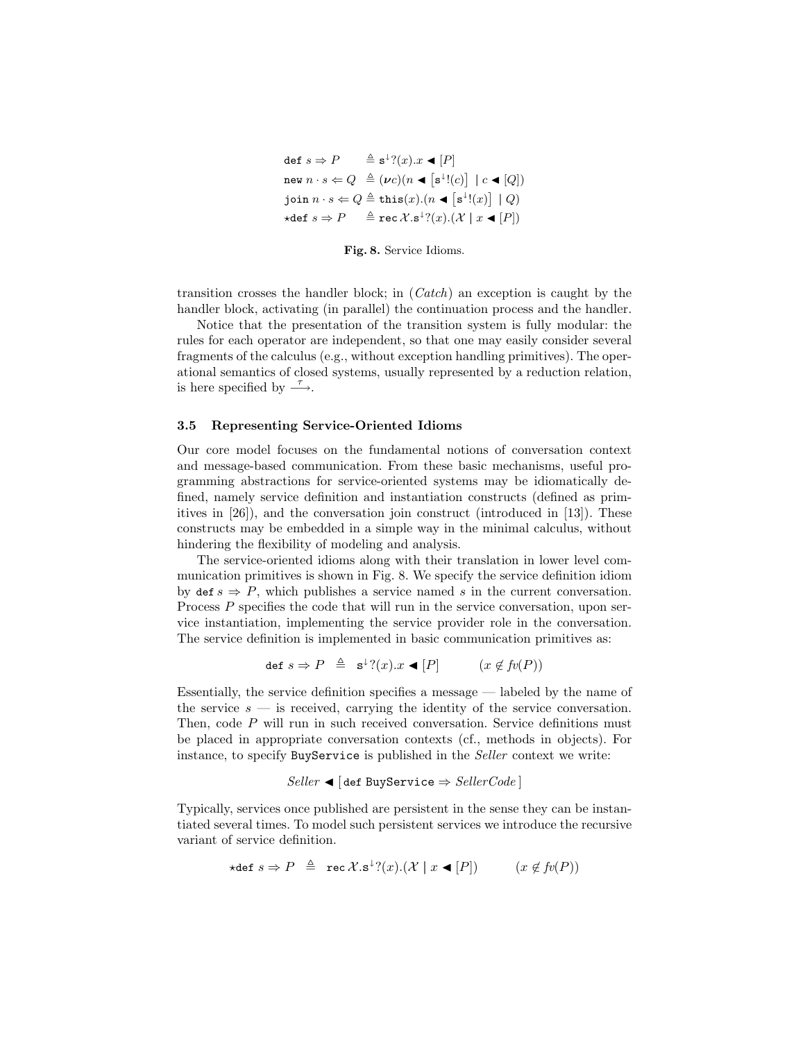| def $s \Rightarrow P$ | $\triangleq$ s <sup><math>\downarrow</math></sup> ? $(x).x \triangleleft [P]$                                    |
|-----------------------|------------------------------------------------------------------------------------------------------------------|
|                       | new $n \cdot s \Leftarrow Q \triangleq (\nu c)(n \triangleleft [s^{\downarrow}!(c)] \mid c \triangleleft [Q])$   |
|                       | join $n \cdot s \Leftarrow Q \triangleq \text{this}(x) \cdot (n \triangleleft [s^{\downarrow}!(x)] \mid Q)$      |
|                       | *def $s \Rightarrow P$ $\triangleq$ rec $\mathcal{X}.s^{\downarrow}$ ? $(x).(\mathcal{X}   x \triangleleft [P])$ |

Fig. 8. Service Idioms.

transition crosses the handler block; in (*Catch*) an exception is caught by the handler block, activating (in parallel) the continuation process and the handler.

Notice that the presentation of the transition system is fully modular: the rules for each operator are independent, so that one may easily consider several fragments of the calculus (e.g., without exception handling primitives). The operational semantics of closed systems, usually represented by a reduction relation, is here specified by  $\stackrel{\tau}{\longrightarrow}$ .

### 3.5 Representing Service-Oriented Idioms

Our core model focuses on the fundamental notions of conversation context and message-based communication. From these basic mechanisms, useful programming abstractions for service-oriented systems may be idiomatically defined, namely service definition and instantiation constructs (defined as primitives in [26]), and the conversation join construct (introduced in [13]). These constructs may be embedded in a simple way in the minimal calculus, without hindering the flexibility of modeling and analysis.

The service-oriented idioms along with their translation in lower level communication primitives is shown in Fig. 8. We specify the service definition idiom by def  $s \Rightarrow P$ , which publishes a service named s in the current conversation. Process  $P$  specifies the code that will run in the service conversation, upon service instantiation, implementing the service provider role in the conversation. The service definition is implemented in basic communication primitives as:

$$
\det s \Rightarrow P \triangleq s^{\downarrow} ?(x).x \triangleleft [P] \qquad (x \notin \text{fv}(P))
$$

Essentially, the service definition specifies a message — labeled by the name of the service  $s$  — is received, carrying the identity of the service conversation. Then, code P will run in such received conversation. Service definitions must be placed in appropriate conversation contexts (cf., methods in objects). For instance, to specify BuyService is published in the *Seller* context we write:

$$
Seller \blacktriangleleft [\text{def BuyService} \Rightarrow SellerCode]
$$

Typically, services once published are persistent in the sense they can be instantiated several times. To model such persistent services we introduce the recursive variant of service definition.

$$
\star \det s \Rightarrow P \triangleq \operatorname{rec}\mathcal{X}.s^{\downarrow}?(x).(\mathcal{X} \mid x \blacktriangleleft [P]) \qquad (x \not\in \mathit{fv}(P))
$$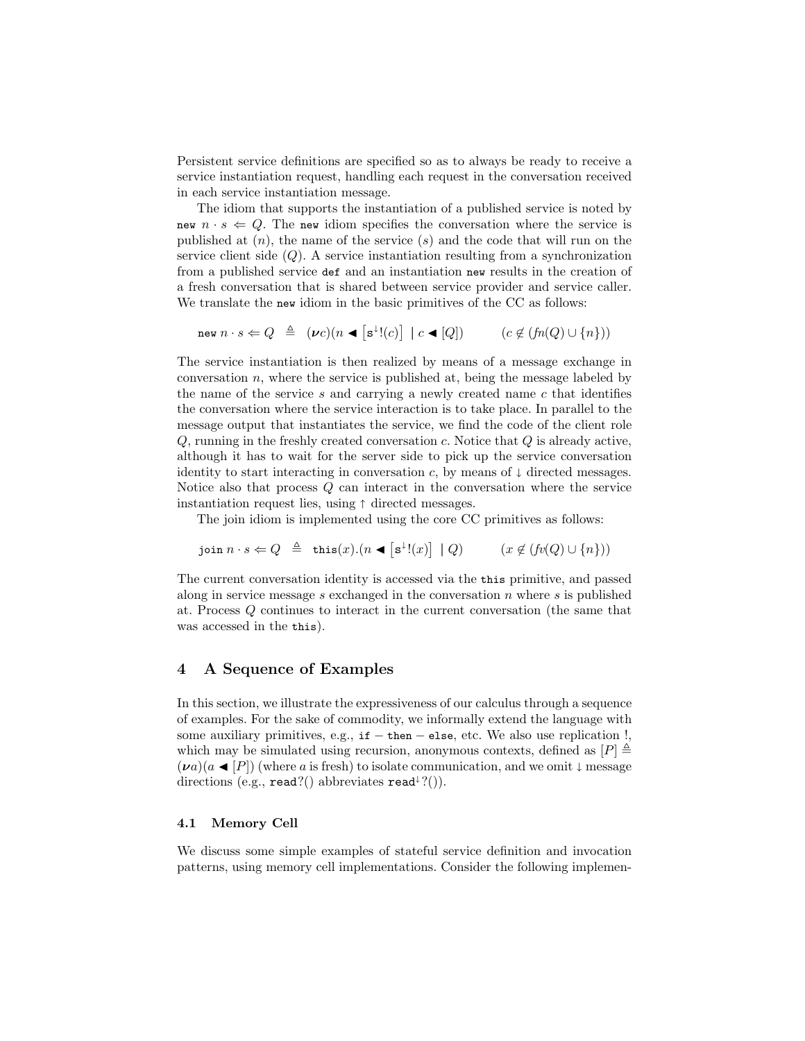Persistent service definitions are specified so as to always be ready to receive a service instantiation request, handling each request in the conversation received in each service instantiation message.

The idiom that supports the instantiation of a published service is noted by new  $n \cdot s \Leftarrow Q$ . The new idiom specifies the conversation where the service is published at  $(n)$ , the name of the service  $(s)$  and the code that will run on the service client side  $(Q)$ . A service instantiation resulting from a synchronization from a published service def and an instantiation new results in the creation of a fresh conversation that is shared between service provider and service caller. We translate the new idiom in the basic primitives of the CC as follows:

new  $n \cdot s \Leftarrow Q \triangleq (\nu c)(n \blacktriangleleft [\mathbf{s}^{\downarrow}!(c)] \mid c \blacktriangleleft [Q])$  ( $c \not\in (\mathit{fn}(Q) \cup \{n\}))$ 

The service instantiation is then realized by means of a message exchange in conversation  $n$ , where the service is published at, being the message labeled by the name of the service s and carrying a newly created name  $c$  that identifies the conversation where the service interaction is to take place. In parallel to the message output that instantiates the service, we find the code of the client role  $Q$ , running in the freshly created conversation  $c$ . Notice that  $Q$  is already active, although it has to wait for the server side to pick up the service conversation identity to start interacting in conversation c, by means of  $\downarrow$  directed messages. Notice also that process Q can interact in the conversation where the service instantiation request lies, using  $\uparrow$  directed messages.

The join idiom is implemented using the core CC primitives as follows:

join <sup>n</sup> · <sup>s</sup> ⇐ <sup>Q</sup> " this(x).(<sup>n</sup> ! " s!!(x) # *<sup>|</sup>* <sup>Q</sup>) (<sup>x</sup> (∈ (*fv*(Q) <sup>∪</sup> {n}))

The current conversation identity is accessed via the this primitive, and passed along in service message s exchanged in the conversation n where s is published at. Process Q continues to interact in the current conversation (the same that was accessed in the this).

# 4 A Sequence of Examples

In this section, we illustrate the expressiveness of our calculus through a sequence of examples. For the sake of commodity, we informally extend the language with some auxiliary primitives, e.g.,  $if - then - else$ , etc. We also use replication !, which may be simulated using recursion, anonymous contexts, defined as  $[P] \triangleq$  $(\nu a)(a \triangleleft [P])$  (where a is fresh) to isolate communication, and we omit  $\downarrow$  message directions (e.g., read?() abbreviates read<sup> $\downarrow$ </sup>?()).

# 4.1 Memory Cell

We discuss some simple examples of stateful service definition and invocation patterns, using memory cell implementations. Consider the following implemen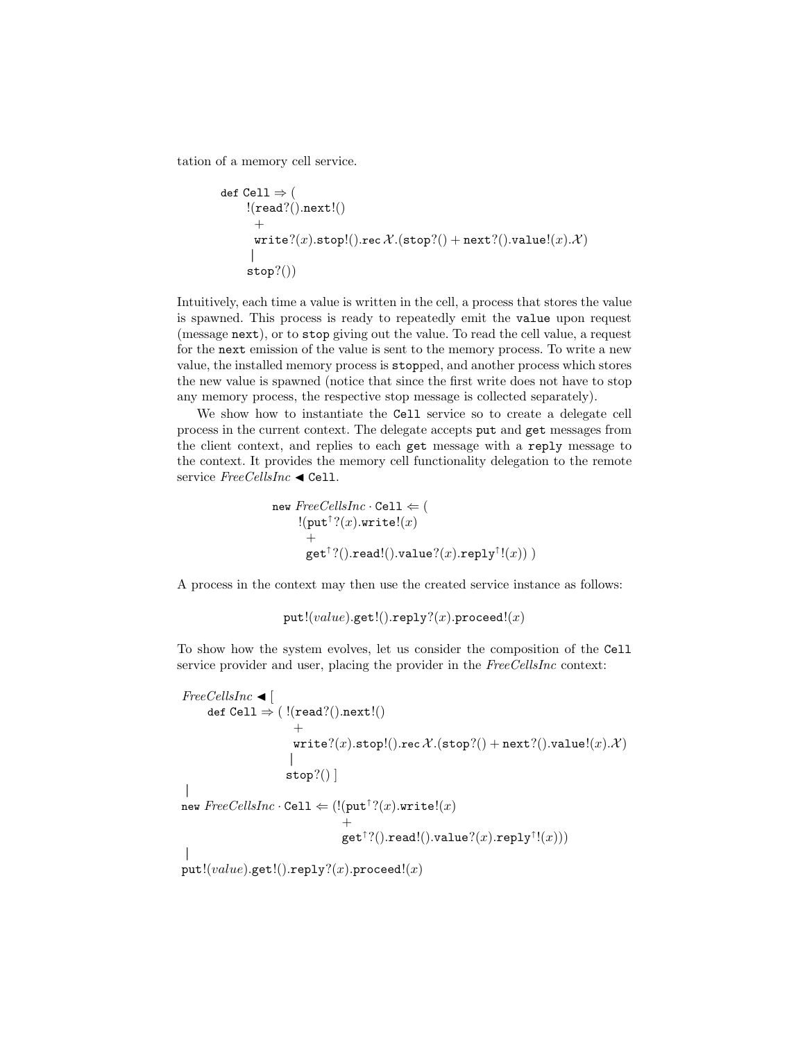tation of a memory cell service.

$$
\begin{array}{ll} \displaystyle \texttt{def Cell} \Rightarrow ( & \\ & \displaystyle \frac{!({\rm read?}().{\rm next}!() }{+} \\ & \displaystyle + \\ & \displaystyle \texttt{write?}(x).\texttt{stop}!().{\rm rec}\,\mathcal{X}.({\rm stop?}()+{\rm next?}().{\rm value}!(x).\mathcal{X}) \\ & \displaystyle \mid \\ & \displaystyle \texttt{stop?}()}) \end{array}
$$

Intuitively, each time a value is written in the cell, a process that stores the value is spawned. This process is ready to repeatedly emit the value upon request (message next), or to stop giving out the value. To read the cell value, a request for the next emission of the value is sent to the memory process. To write a new value, the installed memory process is stopped, and another process which stores the new value is spawned (notice that since the first write does not have to stop any memory process, the respective stop message is collected separately).

We show how to instantiate the Cell service so to create a delegate cell process in the current context. The delegate accepts put and get messages from the client context, and replies to each get message with a reply message to the context. It provides the memory cell functionality delegation to the remote service  $FreeCellsInc \blacktriangleleft$  Cell.

$$
\begin{array}{ll}\n\texttt{new} \textit{FreeCellsInc} \cdot \texttt{Cell} < \\
& \quad \ !(\texttt{put}^\uparrow? (x).\texttt{write}!(x) \\
& + \\
& \quad \ \ \texttt{get}^\uparrow?().\texttt{read}!(). \texttt{value} ?(x).\texttt{reply}^\uparrow!(x))\n\end{array})
$$

A process in the context may then use the created service instance as follows:

put! $(value), get!()$ .reply? $(x)$ .proceed! $(x)$ 

To show how the system evolves, let us consider the composition of the Cell service provider and user, placing the provider in the *FreeCellsInc* context:

*FreeCellsInc*  $\triangleleft$  [ def Cell  $\Rightarrow$  (  $!(\text{read}?().\text{next}!()$  $^{+}$  $\mathtt{write?(}x\mathtt{).stop!}()$ .rec  $\mathcal{X}.(\mathtt{stop?}() + \mathtt{next?}()$ .value! $(x).\mathcal{X})$ *|* stop?() ] *|* new  $FreeCellsInc \cdot \text{Cell} \Leftarrow (!(\text{put}^{\uparrow}?(x).\text{write}!(x)$  $^{+}$  $\mathtt{get}^\dagger ?().\mathtt{read}!().\mathtt{value}?(x).\mathtt{reply}^\dagger !(x)))$ *|*  $\texttt{put}!(value).\texttt{get}!(). \texttt{reply}?(x). \texttt{proceed}!(x)$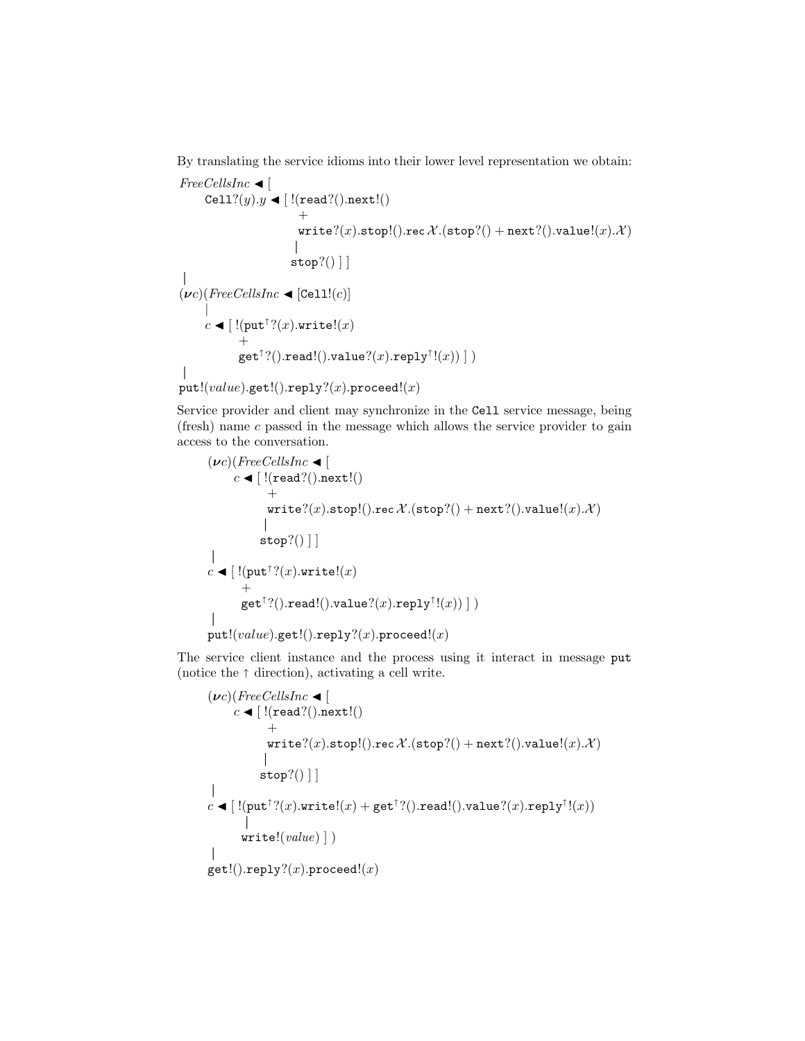By translating the service idioms into their lower level representation we obtain: *FreeCellsInc* ! [

Cell?(y).y ! [ !(read?().next!() + write?(x).stop!().rec X .(stop?() + next?().value!(x).X ) *|* stop?() ] ] *|* (νc)(*FreeCellsInc* ! [Cell!(c)] | c ! [ !(put"?(x).write!(x) + get"?().read!().value?(x).reply"!(x)) ] ) *|* put!(value).get!().reply?(x).proceed!(x)

Service provider and client may synchronize in the Cell service message, being (fresh) name c passed in the message which allows the service provider to gain access to the conversation.

$$
(vc)(FreeCellsInc \blacktriangleleft [\n c \blacktriangleleft?().next!(\n +\n write?(x).stop!().rec \mathcal{X}.(stop?() + next?().value!(x).\mathcal{X})\n | {\n stop?()} |\n }\n\nc \blacktriangleleft [ !(put^{\uparrow}?(x).write!(x)\n +\n get^{\uparrow}?().read!().value?(x).reply^{\uparrow}!(x)) | )\n | {\n put!(value).get!().reply?(x).procedure!(x)\n}
$$

The service client instance and the process using it interact in message put (notice the  $\uparrow$  direction), activating a cell write.

$$
(vc)(FreeCellsInc \blacktriangleleft [\begin{array}{l} \ \\ c \blacktriangleleft \end{array} ](\text{read?}().next!() \\ \qquad + \\ \hspace{1.5cm} \text{write?}(x).\text{stop}!().{\text{rec}}~\mathcal{X}.(\text{stop?}()+\text{next?}().{\text{value}}!(x). \mathcal{X}) \\ \qquad \qquad [\hspace{1.5cm} \text{stop?}()\hspace{1.5cm}] \\ c \blacktriangleleft \text{ [ } !(\text{put*}? (x).\text{write!}(x) + \text{get*?}().{\text{read}!}().{\text{value?}(x).}\text{reply*}! (x)) \\ \qquad \qquad [\hspace{1.5cm} \text{write!}(value) \hspace{1.5cm}] ) \\ \qquad \qquad [\text{write!}(value) \hspace{1.5cm}] \\ \qquad \qquad [\text{get!}().{\text{reply?}(x).}\text{proceed!}(x) \end{array}
$$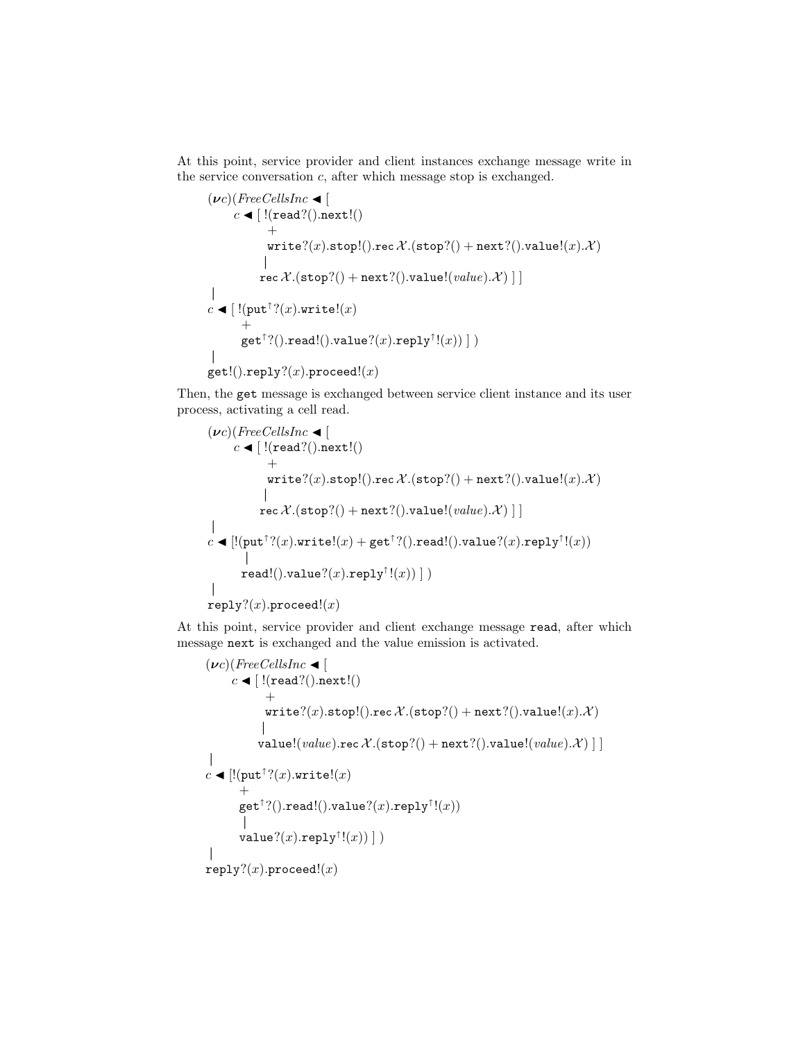At this point, service provider and client instances exchange message write in the service conversation  $c$ , after which message stop is exchanged.

(νc)(*FreeCellsInc* ! [ c ! [ !(read?().next!() + write?(x).stop!().rec X .(stop?() + next?().value!(x).X ) *|* rec X .(stop?() + next?().value!(*value*).X ) ] ] *|* c ! [ !(put"?(x).write!(x) + get"?().read!().value?(x).reply"!(x)) ] ) *|* get!().reply?(x).proceed!(x)

Then, the get message is exchanged between service client instance and its user process, activating a cell read.

$$
(\nu c)(FreeCellsInc \blacktriangleleft [\begin{matrix} 1\\ c \blacktriangleleft ? \end{matrix}().next!()\\ +\\ \text{write?}(x).stop!().rec \mathcal{X}.(stop?() + next?().value!(x).\mathcal{X})\\ |\\ rec \mathcal{X}.(stop?() + next?().value!(value).\mathcal{X})]] \end{matrix}]
$$
  

$$
c \blacktriangleleft [!(put^{\uparrow}?(x).write!(x) + get^{\uparrow}?().read!().value?(x).reply^{\uparrow}!(x))\\ |\\ read!().value?(x).reply^{\uparrow}!(x))])
$$

At this point, service provider and client exchange message read, after which message next is exchanged and the value emission is activated.

(νc)(*FreeCellsInc* ! [ c ! [ !(read?().next!() + write?(x).stop!().rec X .(stop?() + next?().value!(x).X ) *|* value!(*value*).rec X .(stop?() + next?().value!(*value*).X ) ] ] *|* c ! [!(put"?(x).write!(x) + get"?().read!().value?(x).reply"!(x)) *|* value?(x).reply"!(x)) ] ) *|* reply?(x).proceed!(x)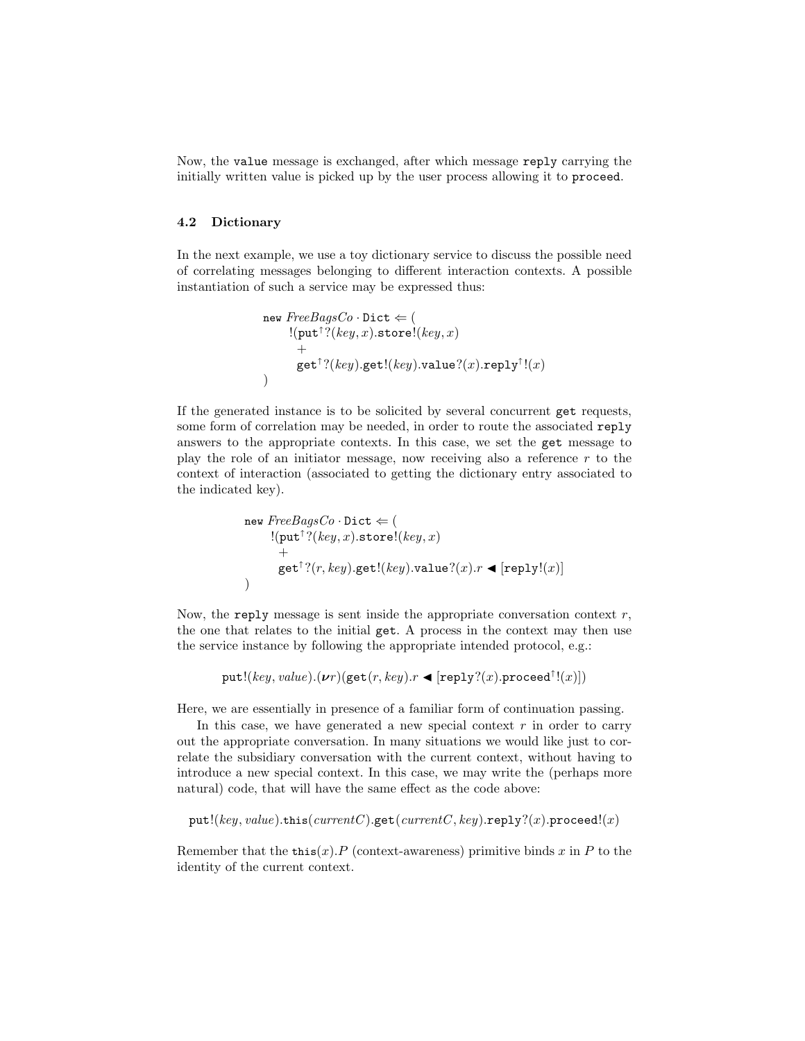Now, the value message is exchanged, after which message reply carrying the initially written value is picked up by the user process allowing it to proceed.

### 4.2 Dictionary

In the next example, we use a toy dictionary service to discuss the possible need of correlating messages belonging to different interaction contexts. A possible instantiation of such a service may be expressed thus:

$$
\begin{array}{ll}\n\texttt{new} \,\, \textit{FreeBagsCo}\cdot\texttt{Dict} & \in \\
& \quad \ \ \, !(\texttt{put}^\dagger?(\textit{key},x).\texttt{store}!(\textit{key},x) \\
& + \quad \quad \ \ \, \texttt{get}^\dagger?(\textit{key}).\texttt{get}!(\textit{key}).\texttt{value}?(x).\texttt{reply}^\dagger!(x) \\
& )\n\end{array}
$$

If the generated instance is to be solicited by several concurrent get requests, some form of correlation may be needed, in order to route the associated reply answers to the appropriate contexts. In this case, we set the get message to play the role of an initiator message, now receiving also a reference  $r$  to the context of interaction (associated to getting the dictionary entry associated to the indicated key).

$$
\begin{aligned}\n&\quad \text{new } \textit{FreeBagsCo} \cdot \text{Dict} \Leftarrow ( \\
&\quad !(\text{put}^1?(\textit{key}, x). \text{store}!(\textit{key}, x) \\
&+ \quad \text{get}^1?(r, \textit{key}). \text{get}!(\textit{key}). \text{value} ?(x).r \blacktriangleleft [\text{reply}!(x)]\n\end{aligned}
$$

Now, the reply message is sent inside the appropriate conversation context  $r$ , the one that relates to the initial get. A process in the context may then use the service instance by following the appropriate intended protocol, e.g.:

$$
\texttt{put}!(key, value).(\nu r)(\texttt{get}(r, key).r \blacktriangleleft [\texttt{reply}?(x). \texttt{proceed}^(!(x)])
$$

Here, we are essentially in presence of a familiar form of continuation passing.

In this case, we have generated a new special context  $r$  in order to carry out the appropriate conversation. In many situations we would like just to correlate the subsidiary conversation with the current context, without having to introduce a new special context. In this case, we may write the (perhaps more natural) code, that will have the same effect as the code above:

```
put!(key, value).this(currentC).get(currentC, key).reply?(x).procedure!(x)
```
Remember that the  $\text{this}(x)$ . P (context-awareness) primitive binds x in P to the identity of the current context.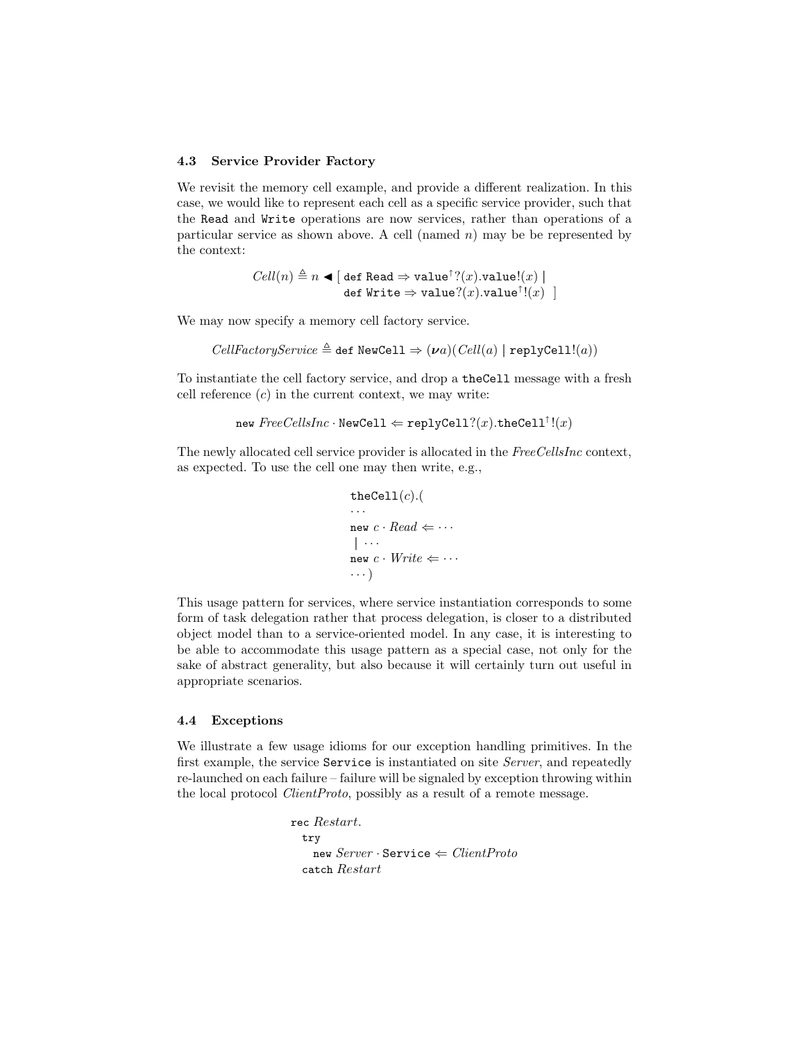### 4.3 Service Provider Factory

We revisit the memory cell example, and provide a different realization. In this case, we would like to represent each cell as a specific service provider, such that the Read and Write operations are now services, rather than operations of a particular service as shown above. A cell (named  $n$ ) may be be represented by the context:

```
Cell(n) \triangleq n \blacktriangleleft [ def Read \Rightarrow value<sup>†</sup>?(x).value!(x) \middef Write \Rightarrow value?(x).value<sup>†</sup>!(x) ]
```
We may now specify a memory cell factory service.

```
CellFactoryService \triangleq def NewCell \Rightarrow (\nu a)(Cell(a) | replyCell!(a))
```
To instantiate the cell factory service, and drop a theCell message with a fresh cell reference  $(c)$  in the current context, we may write:

```
new FreeCellsInc \cdot NewCell \Leftarrow replyCell?(x) \cdot theCell!(x)
```
The newly allocated cell service provider is allocated in the *FreeCellsInc* context, as expected. To use the cell one may then write, e.g.,

```
theCell(c).(
· · ·
new c \cdot Read \Leftarrow \cdots| · · ·
new c \cdot Write \Leftarrow \cdots\cdots
```
This usage pattern for services, where service instantiation corresponds to some form of task delegation rather that process delegation, is closer to a distributed object model than to a service-oriented model. In any case, it is interesting to be able to accommodate this usage pattern as a special case, not only for the sake of abstract generality, but also because it will certainly turn out useful in appropriate scenarios.

#### 4.4 Exceptions

We illustrate a few usage idioms for our exception handling primitives. In the first example, the service Service is instantiated on site *Server*, and repeatedly re-launched on each failure – failure will be signaled by exception throwing within the local protocol *ClientProto*, possibly as a result of a remote message.

```
rec Restart.
 try
   new Server · Service ⇐ ClientProto
  catch Restart
```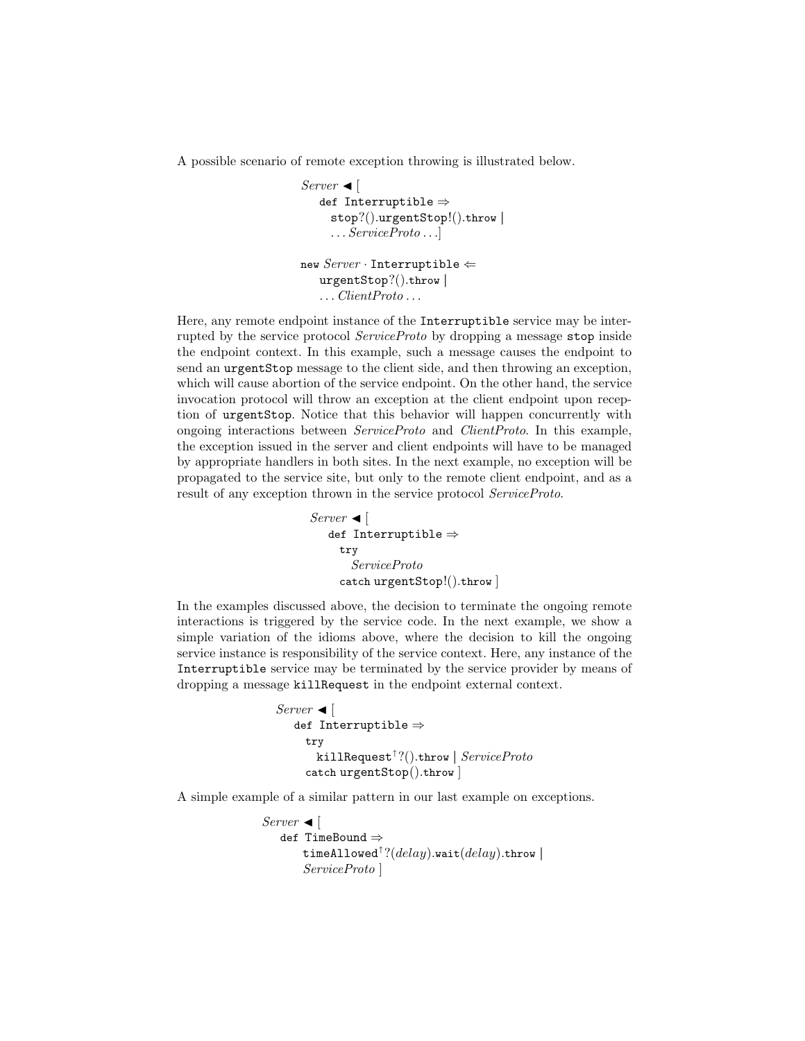A possible scenario of remote exception throwing is illustrated below.

```
Server \triangleleftdef Interruptible \Rightarrowstop?().urgentStop!().throw |
      . . . ServiceProto . . .]
new Server · Interruptible \LeftarrowurgentStop?().throw |
    . . . ClientProto . . .
```
Here, any remote endpoint instance of the Interruptible service may be interrupted by the service protocol *ServiceProto* by dropping a message stop inside the endpoint context. In this example, such a message causes the endpoint to send an urgentStop message to the client side, and then throwing an exception, which will cause abortion of the service endpoint. On the other hand, the service invocation protocol will throw an exception at the client endpoint upon reception of urgentStop. Notice that this behavior will happen concurrently with ongoing interactions between *ServiceProto* and *ClientProto*. In this example, the exception issued in the server and client endpoints will have to be managed by appropriate handlers in both sites. In the next example, no exception will be propagated to the service site, but only to the remote client endpoint, and as a result of any exception thrown in the service protocol *ServiceProto*.

```
Server \triangleleftdef Interruptible ⇒
     try
       ServiceProto
     catch urgentStop!().throw ]
```
In the examples discussed above, the decision to terminate the ongoing remote interactions is triggered by the service code. In the next example, we show a simple variation of the idioms above, where the decision to kill the ongoing service instance is responsibility of the service context. Here, any instance of the Interruptible service may be terminated by the service provider by means of dropping a message killRequest in the endpoint external context.

```
Server \triangleleftdef Interruptible ⇒
     try
       killRequest"?().throw | ServiceProto
     catch urgentStop().throw ]
```
A simple example of a similar pattern in our last example on exceptions.

```
Server \triangleleft [
   def TimeBound ⇒
       timeAllowed"?(delay).wait(delay).throw |
       ServiceProto ]
```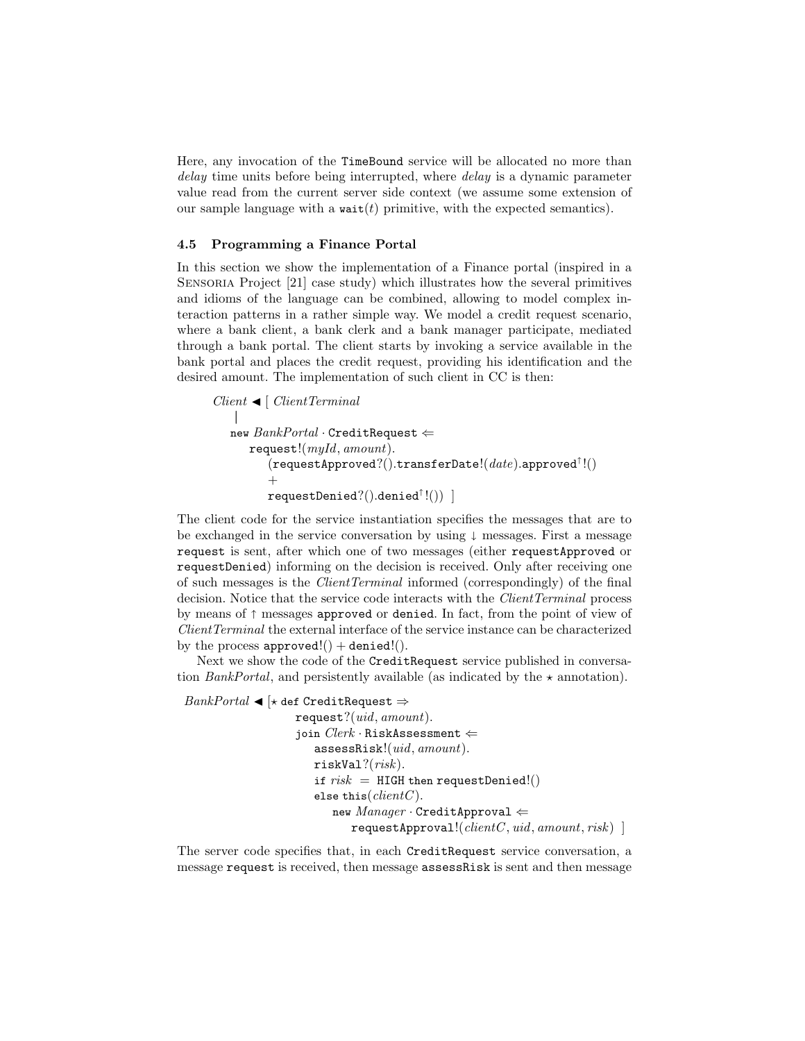Here, any invocation of the TimeBound service will be allocated no more than *delay* time units before being interrupted, where *delay* is a dynamic parameter value read from the current server side context (we assume some extension of our sample language with a  $\text{wait}(t)$  primitive, with the expected semantics).

### 4.5 Programming a Finance Portal

In this section we show the implementation of a Finance portal (inspired in a SENSORIA Project [21] case study) which illustrates how the several primitives and idioms of the language can be combined, allowing to model complex interaction patterns in a rather simple way. We model a credit request scenario, where a bank client, a bank clerk and a bank manager participate, mediated through a bank portal. The client starts by invoking a service available in the bank portal and places the credit request, providing his identification and the desired amount. The implementation of such client in CC is then:

```
Client ! [ ClientTerminal
   |
   new BankPortal · CreditRequest ⇐
      request!(myId, amount).
         (requestApproved?().transferDate!(date).approved"!()
         +requestDenied?().denied\uparrow!()) ]
```
The client code for the service instantiation specifies the messages that are to be exchanged in the service conversation by using  $\downarrow$  messages. First a message request is sent, after which one of two messages (either requestApproved or requestDenied) informing on the decision is received. Only after receiving one of such messages is the *ClientTerminal* informed (correspondingly) of the final decision. Notice that the service code interacts with the *ClientTerminal* process by means of  $\uparrow$  messages approved or denied. In fact, from the point of view of *ClientTerminal* the external interface of the service instance can be characterized by the process approved! $() +$  denied! $()$ .

Next we show the code of the CreditRequest service published in conversation *BankPortal*, and persistently available (as indicated by the  $\star$  annotation).

```
Bank Portal \blacktriangleleft \star def CreditRequest \Rightarrowrequest?(uid, amount).
                    join Clerk · RiskAssessment ⇐
                        assessRisk!(uid, amount).
                       riskVal?(risk).
                        if risk = HIGH then requestDenied!()
                        else this(clientC ).
                           new Manager · CreditApproval ←
                              requestApproval!(clientC , uid, amount, risk) ]
```
The server code specifies that, in each CreditRequest service conversation, a message request is received, then message assessRisk is sent and then message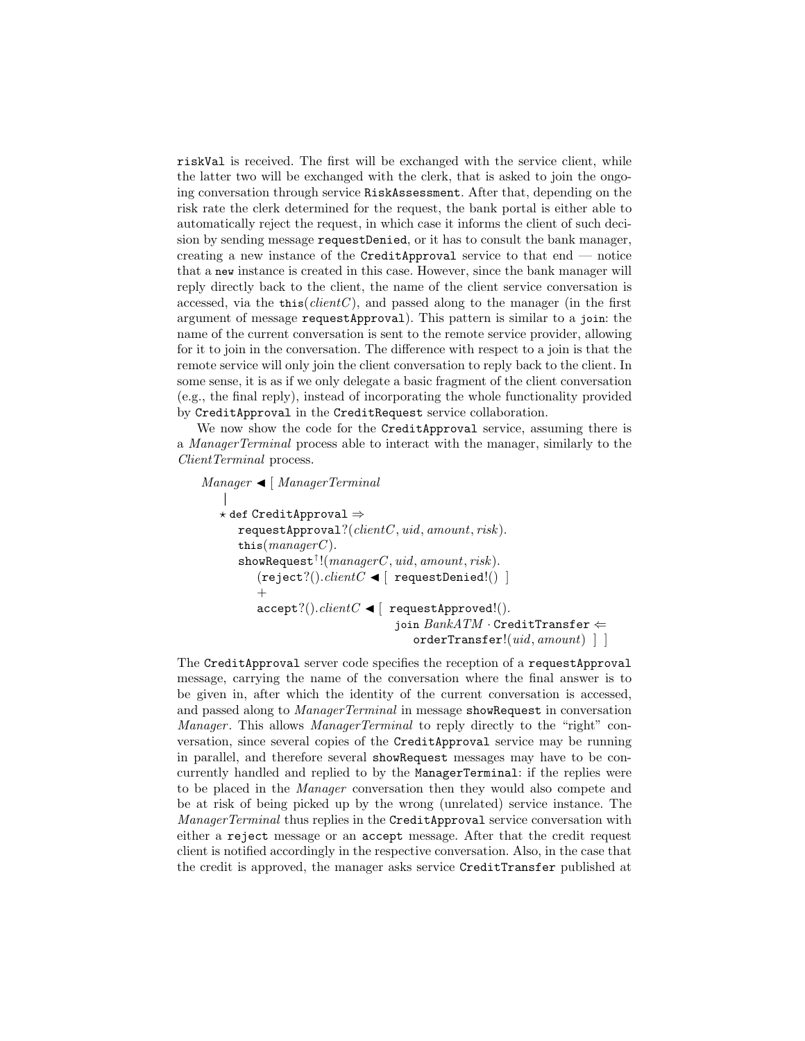riskVal is received. The first will be exchanged with the service client, while the latter two will be exchanged with the clerk, that is asked to join the ongoing conversation through service RiskAssessment. After that, depending on the risk rate the clerk determined for the request, the bank portal is either able to automatically reject the request, in which case it informs the client of such decision by sending message requestDenied, or it has to consult the bank manager, creating a new instance of the CreditApproval service to that end — notice that a new instance is created in this case. However, since the bank manager will reply directly back to the client, the name of the client service conversation is accessed, via the  $\text{this}(clientC)$ , and passed along to the manager (in the first argument of message requestApproval). This pattern is similar to a join: the name of the current conversation is sent to the remote service provider, allowing for it to join in the conversation. The difference with respect to a join is that the remote service will only join the client conversation to reply back to the client. In some sense, it is as if we only delegate a basic fragment of the client conversation (e.g., the final reply), instead of incorporating the whole functionality provided by CreditApproval in the CreditRequest service collaboration.

We now show the code for the CreditApproval service, assuming there is a *ManagerTerminal* process able to interact with the manager, similarly to the *ClientTerminal* process.

*Manager* ! [ *ManagerTerminal |*  $\star$  def CreditApproval  $\Rightarrow$ requestApproval?(*clientC* , *uid*, *amount*, *risk*). this(*managerC* ). showRequest"!(*managerC* , *uid*, *amount*, *risk*).  $(reject?().clientC \triangleleft [ requestDenied!)$  $+$  $accept?().clientC \blacktriangleleft [ requestApproved!().$  $\phi$ <sub>join</sub>  $BankATM \cdot$  CreditTransfer  $\Leftarrow$ orderTransfer!(*uid*, *amount*) ] ]

The CreditApproval server code specifies the reception of a requestApproval message, carrying the name of the conversation where the final answer is to be given in, after which the identity of the current conversation is accessed, and passed along to *ManagerTerminal* in message showRequest in conversation *Manager* . This allows *ManagerTerminal* to reply directly to the "right" conversation, since several copies of the CreditApproval service may be running in parallel, and therefore several showRequest messages may have to be concurrently handled and replied to by the ManagerTerminal: if the replies were to be placed in the *Manager* conversation then they would also compete and be at risk of being picked up by the wrong (unrelated) service instance. The *ManagerTerminal* thus replies in the CreditApproval service conversation with either a reject message or an accept message. After that the credit request client is notified accordingly in the respective conversation. Also, in the case that the credit is approved, the manager asks service CreditTransfer published at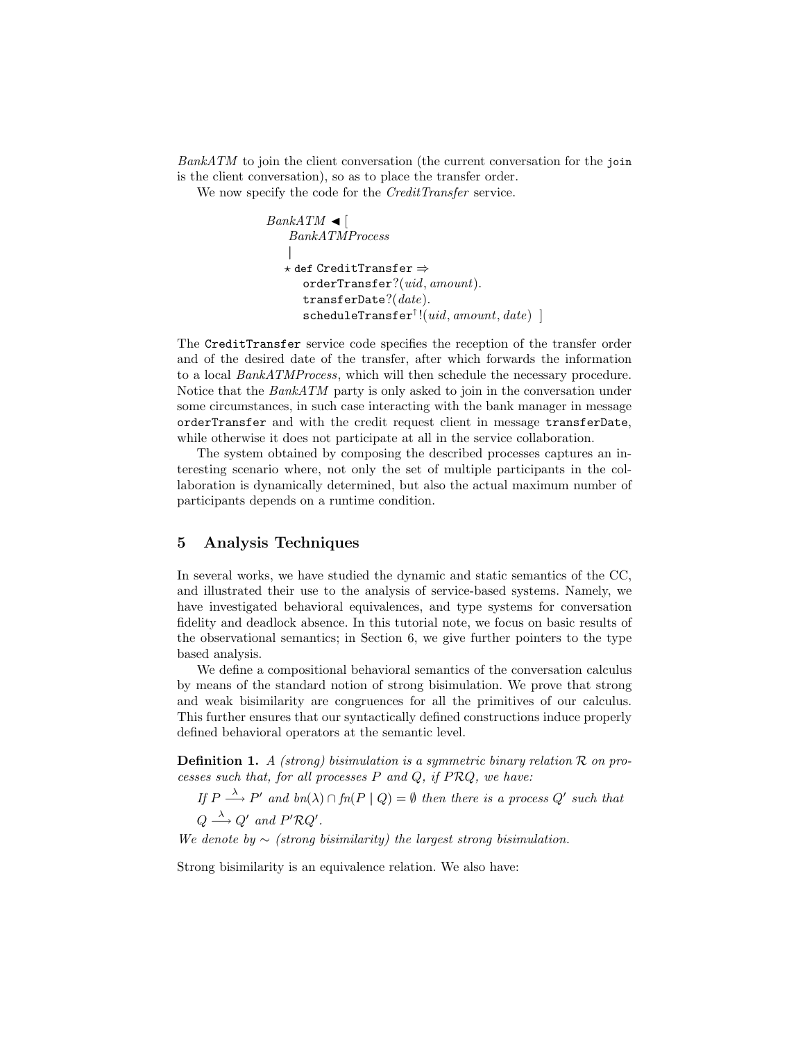*BankATM* to join the client conversation (the current conversation for the join is the client conversation), so as to place the transfer order.

We now specify the code for the *CreditTransfer* service.

```
BankATM \triangleleftBankATMProcess
    |
   \star def CreditTransfer \RightarroworderTransfer?(uid, amount).
      transferDate?(date).
      scheduleTransfer"!(uid, amount, date) ]
```
The CreditTransfer service code specifies the reception of the transfer order and of the desired date of the transfer, after which forwards the information to a local *BankATMProcess*, which will then schedule the necessary procedure. Notice that the *BankATM* party is only asked to join in the conversation under some circumstances, in such case interacting with the bank manager in message orderTransfer and with the credit request client in message transferDate, while otherwise it does not participate at all in the service collaboration.

The system obtained by composing the described processes captures an interesting scenario where, not only the set of multiple participants in the collaboration is dynamically determined, but also the actual maximum number of participants depends on a runtime condition.

# 5 Analysis Techniques

In several works, we have studied the dynamic and static semantics of the CC, and illustrated their use to the analysis of service-based systems. Namely, we have investigated behavioral equivalences, and type systems for conversation fidelity and deadlock absence. In this tutorial note, we focus on basic results of the observational semantics; in Section 6, we give further pointers to the type based analysis.

We define a compositional behavioral semantics of the conversation calculus by means of the standard notion of strong bisimulation. We prove that strong and weak bisimilarity are congruences for all the primitives of our calculus. This further ensures that our syntactically defined constructions induce properly defined behavioral operators at the semantic level.

Definition 1. *A (strong) bisimulation is a symmetric binary relation* R *on processes such that, for all processes* P *and* Q*, if* PRQ*, we have:*

*If*  $P \xrightarrow{\lambda} P'$  *and*  $bn(\lambda) \cap fn(P \mid Q) = \emptyset$  *then there is a process* Q' *such that*  $Q \stackrel{\lambda}{\longrightarrow} Q'$  and  $P' \mathcal{R} Q'$ .

*We denote by* ∼ *(strong bisimilarity) the largest strong bisimulation.* 

Strong bisimilarity is an equivalence relation. We also have: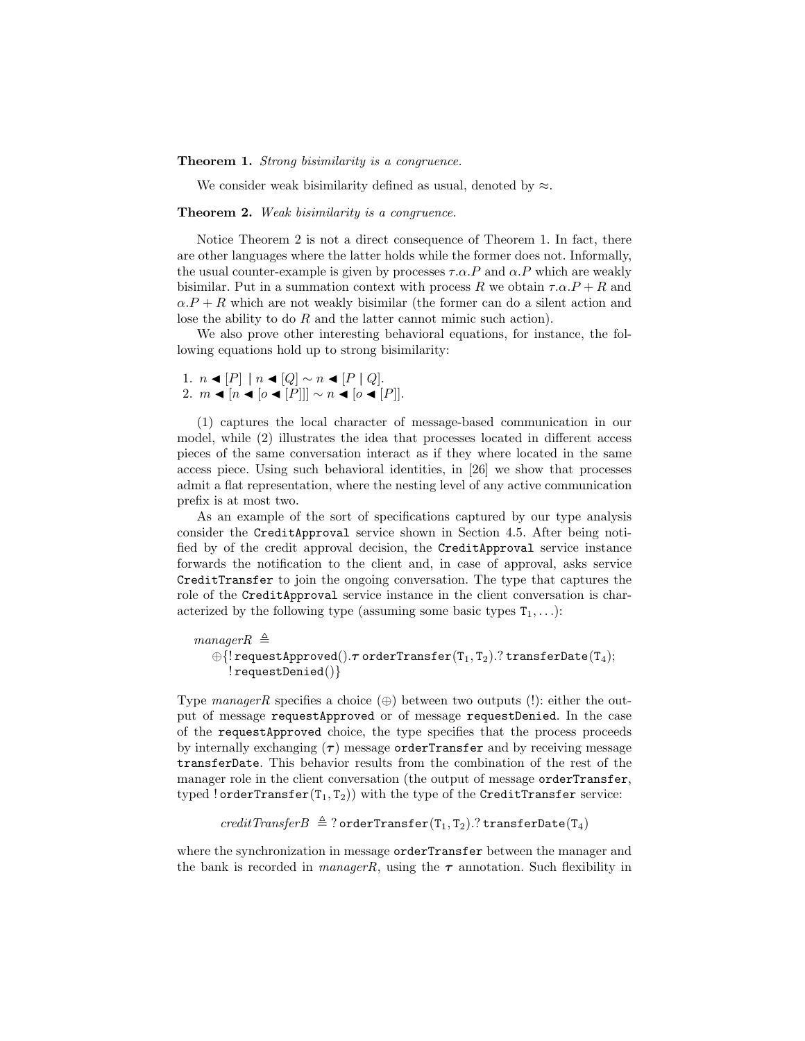Theorem 1. *Strong bisimilarity is a congruence.*

We consider weak bisimilarity defined as usual, denoted by  $\approx$ .

Theorem 2. *Weak bisimilarity is a congruence.*

Notice Theorem 2 is not a direct consequence of Theorem 1. In fact, there are other languages where the latter holds while the former does not. Informally, the usual counter-example is given by processes  $\tau.\alpha.P$  and  $\alpha.P$  which are weakly bisimilar. Put in a summation context with process R we obtain  $\tau \alpha P + R$  and  $\alpha.P + R$  which are not weakly bisimilar (the former can do a silent action and lose the ability to do R and the latter cannot mimic such action).

We also prove other interesting behavioral equations, for instance, the following equations hold up to strong bisimilarity:

1.  $n \triangleleft [P] | n \triangleleft [Q] \sim n \triangleleft [P | Q]$ . 2.  $m \triangleleft [n \triangleleft [o \triangleleft [P]]] \sim n \triangleleft [o \triangleleft [P]].$ 

(1) captures the local character of message-based communication in our model, while (2) illustrates the idea that processes located in different access pieces of the same conversation interact as if they where located in the same access piece. Using such behavioral identities, in [26] we show that processes admit a flat representation, where the nesting level of any active communication prefix is at most two.

As an example of the sort of specifications captured by our type analysis consider the CreditApproval service shown in Section 4.5. After being notified by of the credit approval decision, the CreditApproval service instance forwards the notification to the client and, in case of approval, asks service CreditTransfer to join the ongoing conversation. The type that captures the role of the CreditApproval service instance in the client conversation is characterized by the following type (assuming some basic types  $T_1, \ldots$ ):

```
manaqerR \triangleq\oplus \{!\text{! requestApproved}().\tau\text{ orderTransfer}(T_1, T_2).?\text{ transferDate}(T_4);! requestDenied()}
```
Type *managerR* specifies a choice  $(\oplus)$  between two outputs (!): either the output of message requestApproved or of message requestDenied. In the case of the requestApproved choice, the type specifies that the process proceeds by internally exchanging  $(\tau)$  message orderTransfer and by receiving message transferDate. This behavior results from the combination of the rest of the manager role in the client conversation (the output of message orderTransfer, typed ! orderTransfer $(T_1, T_2)$ ) with the type of the CreditTransfer service:

```
\mathit{creditTransferB} \triangleq ? \texttt{orderTransfer}(T_1, T_2). ? \texttt{transferDate}(T_4)
```
where the synchronization in message orderTransfer between the manager and the bank is recorded in *managerR*, using the  $\tau$  annotation. Such flexibility in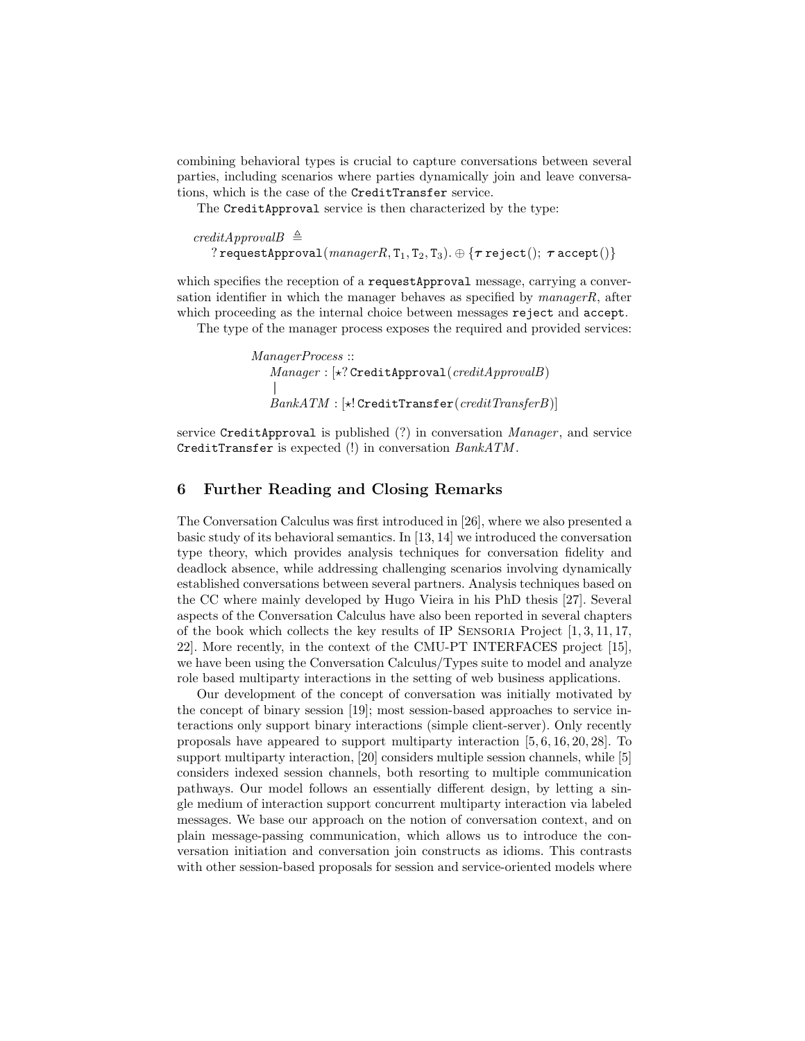combining behavioral types is crucial to capture conversations between several parties, including scenarios where parties dynamically join and leave conversations, which is the case of the CreditTransfer service.

The CreditApproval service is then characterized by the type:

 $\text{c} \text{r} \text{e} \text{d} \text{t}$ *ApprovalB*  $\triangleq$ ? requestApproval( $manger R, T_1, T_2, T_3$ ).  $\oplus$  { $\tau$  reject();  $\tau$  accept()}

which specifies the reception of a requestApproval message, carrying a conversation identifier in which the manager behaves as specified by *managerR*, after which proceeding as the internal choice between messages reject and accept.

The type of the manager process exposes the required and provided services:

```
ManagerProcess ::
    Management(<math>\star</math>)<sup>2</sup> CreditApproxal(<math>creditApproxalB</math>)|
    BankATM: [\star]CreditTransfer(\mathit{creditTransferB})]
```
service CreditApproval is published (?) in conversation *Manager* , and service CreditTransfer is expected (!) in conversation *BankATM* .

# 6 Further Reading and Closing Remarks

The Conversation Calculus was first introduced in [26], where we also presented a basic study of its behavioral semantics. In [13, 14] we introduced the conversation type theory, which provides analysis techniques for conversation fidelity and deadlock absence, while addressing challenging scenarios involving dynamically established conversations between several partners. Analysis techniques based on the CC where mainly developed by Hugo Vieira in his PhD thesis [27]. Several aspects of the Conversation Calculus have also been reported in several chapters of the book which collects the key results of IP SENSORIA Project  $[1, 3, 11, 17,$ 22]. More recently, in the context of the CMU-PT INTERFACES project [15], we have been using the Conversation Calculus/Types suite to model and analyze role based multiparty interactions in the setting of web business applications.

Our development of the concept of conversation was initially motivated by the concept of binary session [19]; most session-based approaches to service interactions only support binary interactions (simple client-server). Only recently proposals have appeared to support multiparty interaction [5, 6, 16, 20, 28]. To support multiparty interaction, [20] considers multiple session channels, while [5] considers indexed session channels, both resorting to multiple communication pathways. Our model follows an essentially different design, by letting a single medium of interaction support concurrent multiparty interaction via labeled messages. We base our approach on the notion of conversation context, and on plain message-passing communication, which allows us to introduce the conversation initiation and conversation join constructs as idioms. This contrasts with other session-based proposals for session and service-oriented models where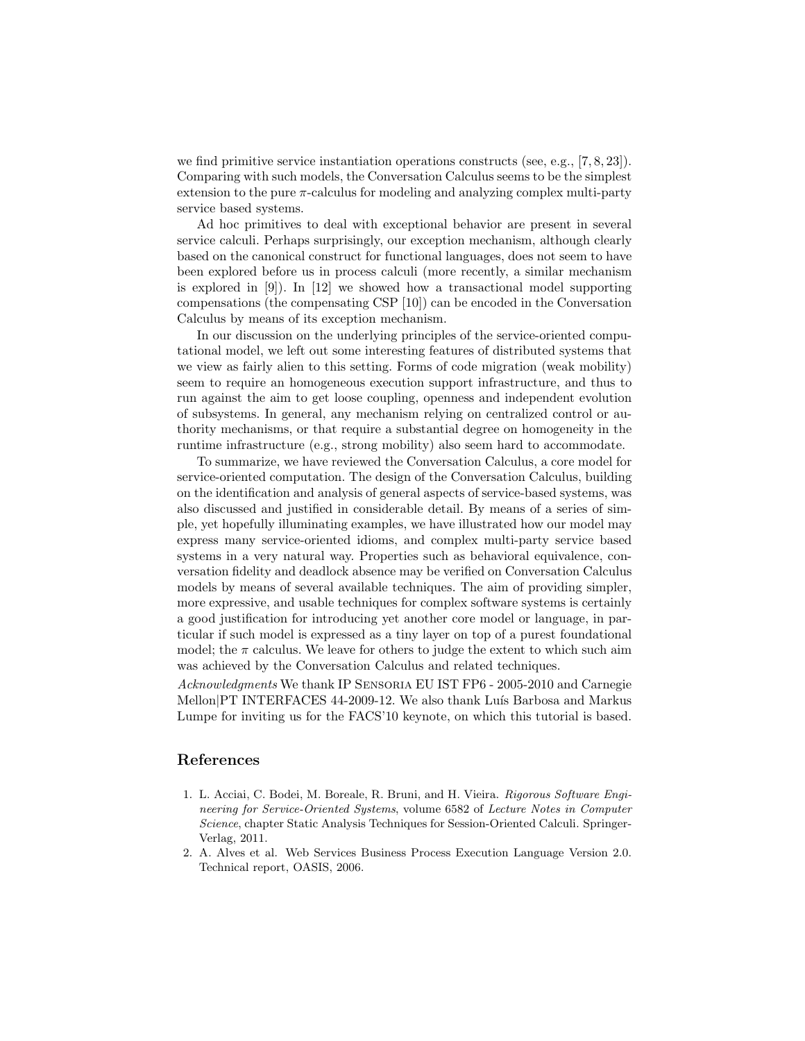we find primitive service instantiation operations constructs (see, e.g., [7, 8, 23]). Comparing with such models, the Conversation Calculus seems to be the simplest extension to the pure  $\pi$ -calculus for modeling and analyzing complex multi-party service based systems.

Ad hoc primitives to deal with exceptional behavior are present in several service calculi. Perhaps surprisingly, our exception mechanism, although clearly based on the canonical construct for functional languages, does not seem to have been explored before us in process calculi (more recently, a similar mechanism is explored in [9]). In [12] we showed how a transactional model supporting compensations (the compensating CSP [10]) can be encoded in the Conversation Calculus by means of its exception mechanism.

In our discussion on the underlying principles of the service-oriented computational model, we left out some interesting features of distributed systems that we view as fairly alien to this setting. Forms of code migration (weak mobility) seem to require an homogeneous execution support infrastructure, and thus to run against the aim to get loose coupling, openness and independent evolution of subsystems. In general, any mechanism relying on centralized control or authority mechanisms, or that require a substantial degree on homogeneity in the runtime infrastructure (e.g., strong mobility) also seem hard to accommodate.

To summarize, we have reviewed the Conversation Calculus, a core model for service-oriented computation. The design of the Conversation Calculus, building on the identification and analysis of general aspects of service-based systems, was also discussed and justified in considerable detail. By means of a series of simple, yet hopefully illuminating examples, we have illustrated how our model may express many service-oriented idioms, and complex multi-party service based systems in a very natural way. Properties such as behavioral equivalence, conversation fidelity and deadlock absence may be verified on Conversation Calculus models by means of several available techniques. The aim of providing simpler, more expressive, and usable techniques for complex software systems is certainly a good justification for introducing yet another core model or language, in particular if such model is expressed as a tiny layer on top of a purest foundational model; the  $\pi$  calculus. We leave for others to judge the extent to which such aim was achieved by the Conversation Calculus and related techniques.

*Acknowledgments* We thank IP Sensoria EU IST FP6 - 2005-2010 and Carnegie Mellon|PT INTERFACES 44-2009-12. We also thank Luís Barbosa and Markus Lumpe for inviting us for the FACS'10 keynote, on which this tutorial is based.

# References

- 1. L. Acciai, C. Bodei, M. Boreale, R. Bruni, and H. Vieira. *Rigorous Software Engineering for Service-Oriented Systems*, volume 6582 of *Lecture Notes in Computer Science*, chapter Static Analysis Techniques for Session-Oriented Calculi. Springer-Verlag, 2011.
- 2. A. Alves et al. Web Services Business Process Execution Language Version 2.0. Technical report, OASIS, 2006.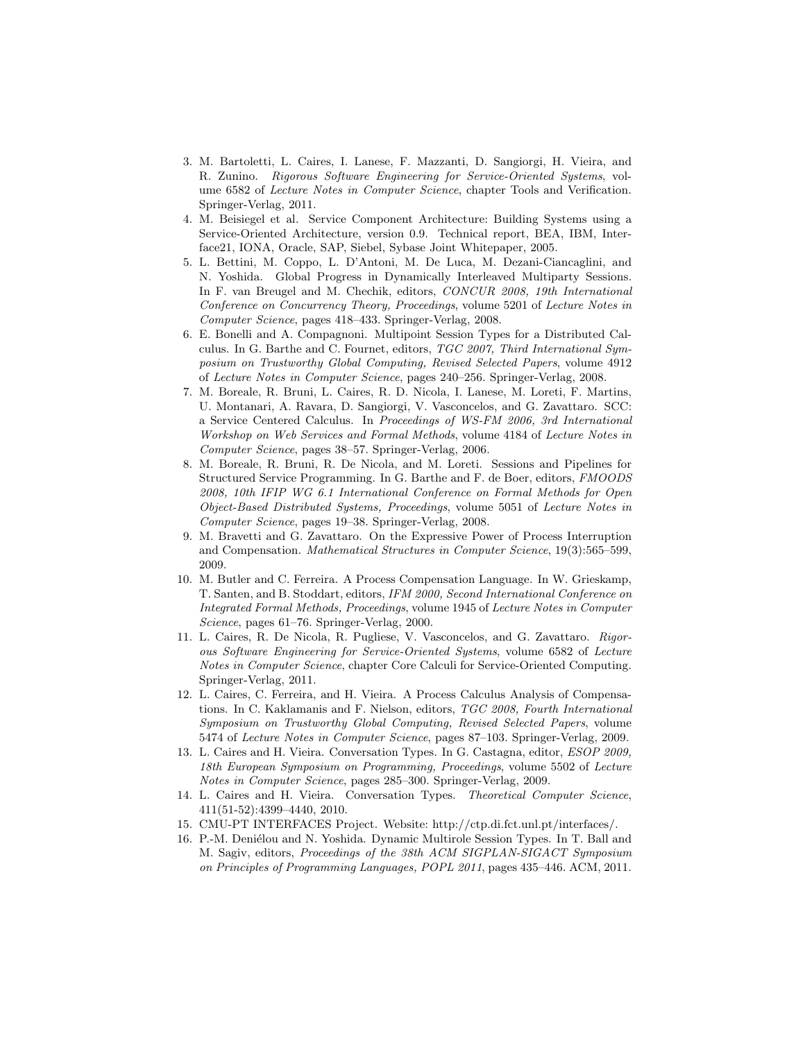- 3. M. Bartoletti, L. Caires, I. Lanese, F. Mazzanti, D. Sangiorgi, H. Vieira, and R. Zunino. *Rigorous Software Engineering for Service-Oriented Systems*, volume 6582 of *Lecture Notes in Computer Science*, chapter Tools and Verification. Springer-Verlag, 2011.
- 4. M. Beisiegel et al. Service Component Architecture: Building Systems using a Service-Oriented Architecture, version 0.9. Technical report, BEA, IBM, Interface21, IONA, Oracle, SAP, Siebel, Sybase Joint Whitepaper, 2005.
- 5. L. Bettini, M. Coppo, L. D'Antoni, M. De Luca, M. Dezani-Ciancaglini, and N. Yoshida. Global Progress in Dynamically Interleaved Multiparty Sessions. In F. van Breugel and M. Chechik, editors, *CONCUR 2008, 19th International Conference on Concurrency Theory, Proceedings*, volume 5201 of *Lecture Notes in Computer Science*, pages 418–433. Springer-Verlag, 2008.
- 6. E. Bonelli and A. Compagnoni. Multipoint Session Types for a Distributed Calculus. In G. Barthe and C. Fournet, editors, *TGC 2007, Third International Symposium on Trustworthy Global Computing, Revised Selected Papers*, volume 4912 of *Lecture Notes in Computer Science*, pages 240–256. Springer-Verlag, 2008.
- 7. M. Boreale, R. Bruni, L. Caires, R. D. Nicola, I. Lanese, M. Loreti, F. Martins, U. Montanari, A. Ravara, D. Sangiorgi, V. Vasconcelos, and G. Zavattaro. SCC: a Service Centered Calculus. In *Proceedings of WS-FM 2006, 3rd International Workshop on Web Services and Formal Methods*, volume 4184 of *Lecture Notes in Computer Science*, pages 38–57. Springer-Verlag, 2006.
- 8. M. Boreale, R. Bruni, R. De Nicola, and M. Loreti. Sessions and Pipelines for Structured Service Programming. In G. Barthe and F. de Boer, editors, *FMOODS 2008, 10th IFIP WG 6.1 International Conference on Formal Methods for Open Object-Based Distributed Systems, Proceedings*, volume 5051 of *Lecture Notes in Computer Science*, pages 19–38. Springer-Verlag, 2008.
- 9. M. Bravetti and G. Zavattaro. On the Expressive Power of Process Interruption and Compensation. *Mathematical Structures in Computer Science*, 19(3):565–599, 2009.
- 10. M. Butler and C. Ferreira. A Process Compensation Language. In W. Grieskamp, T. Santen, and B. Stoddart, editors, *IFM 2000, Second International Conference on Integrated Formal Methods, Proceedings*, volume 1945 of *Lecture Notes in Computer Science*, pages 61–76. Springer-Verlag, 2000.
- 11. L. Caires, R. De Nicola, R. Pugliese, V. Vasconcelos, and G. Zavattaro. *Rigorous Software Engineering for Service-Oriented Systems*, volume 6582 of *Lecture Notes in Computer Science*, chapter Core Calculi for Service-Oriented Computing. Springer-Verlag, 2011.
- 12. L. Caires, C. Ferreira, and H. Vieira. A Process Calculus Analysis of Compensations. In C. Kaklamanis and F. Nielson, editors, *TGC 2008, Fourth International Symposium on Trustworthy Global Computing, Revised Selected Papers*, volume 5474 of *Lecture Notes in Computer Science*, pages 87–103. Springer-Verlag, 2009.
- 13. L. Caires and H. Vieira. Conversation Types. In G. Castagna, editor, *ESOP 2009, 18th European Symposium on Programming, Proceedings*, volume 5502 of *Lecture Notes in Computer Science*, pages 285–300. Springer-Verlag, 2009.
- 14. L. Caires and H. Vieira. Conversation Types. *Theoretical Computer Science*, 411(51-52):4399–4440, 2010.
- 15. CMU-PT INTERFACES Project. Website: http://ctp.di.fct.unl.pt/interfaces/.
- 16. P.-M. Deniélou and N. Yoshida. Dynamic Multirole Session Types. In T. Ball and M. Sagiv, editors, *Proceedings of the 38th ACM SIGPLAN-SIGACT Symposium on Principles of Programming Languages, POPL 2011*, pages 435–446. ACM, 2011.